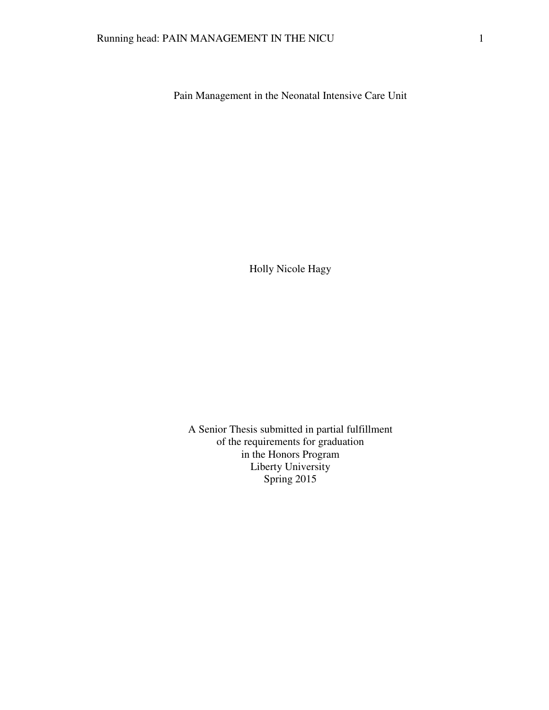Pain Management in the Neonatal Intensive Care Unit

Holly Nicole Hagy

A Senior Thesis submitted in partial fulfillment of the requirements for graduation in the Honors Program Liberty University Spring 2015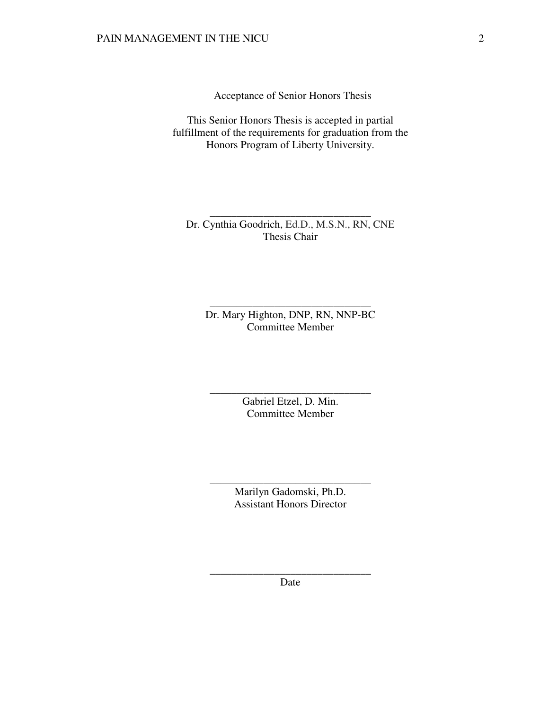Acceptance of Senior Honors Thesis

This Senior Honors Thesis is accepted in partial fulfillment of the requirements for graduation from the Honors Program of Liberty University.

Dr. Cynthia Goodrich, Ed.D., M.S.N., RN, CNE Thesis Chair

\_\_\_\_\_\_\_\_\_\_\_\_\_\_\_\_\_\_\_\_\_\_\_\_\_\_\_\_\_\_

Dr. Mary Highton, DNP, RN, NNP-BC Committee Member

\_\_\_\_\_\_\_\_\_\_\_\_\_\_\_\_\_\_\_\_\_\_\_\_\_\_\_\_\_\_

Gabriel Etzel, D. Min. Committee Member

\_\_\_\_\_\_\_\_\_\_\_\_\_\_\_\_\_\_\_\_\_\_\_\_\_\_\_\_\_\_

Marilyn Gadomski, Ph.D. Assistant Honors Director

\_\_\_\_\_\_\_\_\_\_\_\_\_\_\_\_\_\_\_\_\_\_\_\_\_\_\_\_\_\_

\_\_\_\_\_\_\_\_\_\_\_\_\_\_\_\_\_\_\_\_\_\_\_\_\_\_\_\_\_\_ Date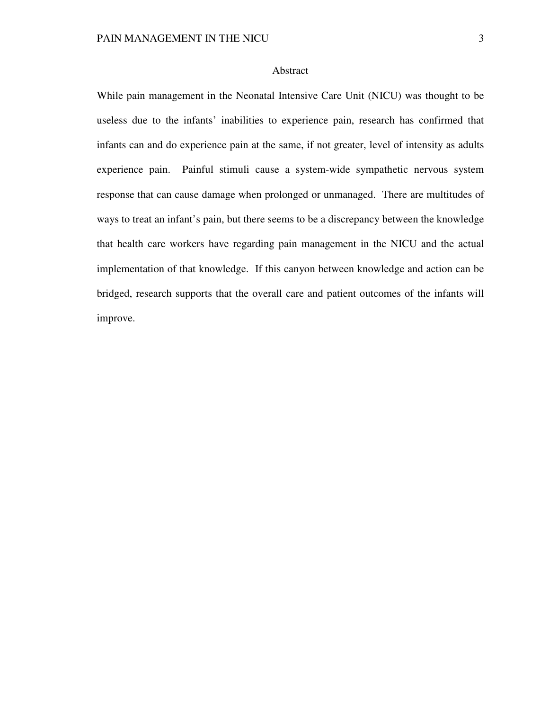# Abstract

While pain management in the Neonatal Intensive Care Unit (NICU) was thought to be useless due to the infants' inabilities to experience pain, research has confirmed that infants can and do experience pain at the same, if not greater, level of intensity as adults experience pain. Painful stimuli cause a system-wide sympathetic nervous system response that can cause damage when prolonged or unmanaged. There are multitudes of ways to treat an infant's pain, but there seems to be a discrepancy between the knowledge that health care workers have regarding pain management in the NICU and the actual implementation of that knowledge. If this canyon between knowledge and action can be bridged, research supports that the overall care and patient outcomes of the infants will improve.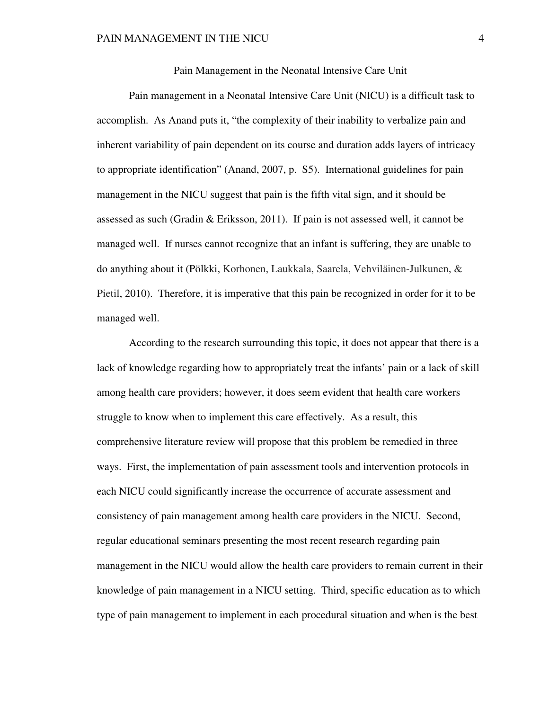Pain Management in the Neonatal Intensive Care Unit

 Pain management in a Neonatal Intensive Care Unit (NICU) is a difficult task to accomplish. As Anand puts it, "the complexity of their inability to verbalize pain and inherent variability of pain dependent on its course and duration adds layers of intricacy to appropriate identification" (Anand, 2007, p. S5). International guidelines for pain management in the NICU suggest that pain is the fifth vital sign, and it should be assessed as such (Gradin & Eriksson, 2011). If pain is not assessed well, it cannot be managed well. If nurses cannot recognize that an infant is suffering, they are unable to do anything about it (Pölkki, Korhonen, Laukkala, Saarela, Vehviläinen-Julkunen, & Pietil, 2010). Therefore, it is imperative that this pain be recognized in order for it to be managed well.

 According to the research surrounding this topic, it does not appear that there is a lack of knowledge regarding how to appropriately treat the infants' pain or a lack of skill among health care providers; however, it does seem evident that health care workers struggle to know when to implement this care effectively. As a result, this comprehensive literature review will propose that this problem be remedied in three ways. First, the implementation of pain assessment tools and intervention protocols in each NICU could significantly increase the occurrence of accurate assessment and consistency of pain management among health care providers in the NICU. Second, regular educational seminars presenting the most recent research regarding pain management in the NICU would allow the health care providers to remain current in their knowledge of pain management in a NICU setting. Third, specific education as to which type of pain management to implement in each procedural situation and when is the best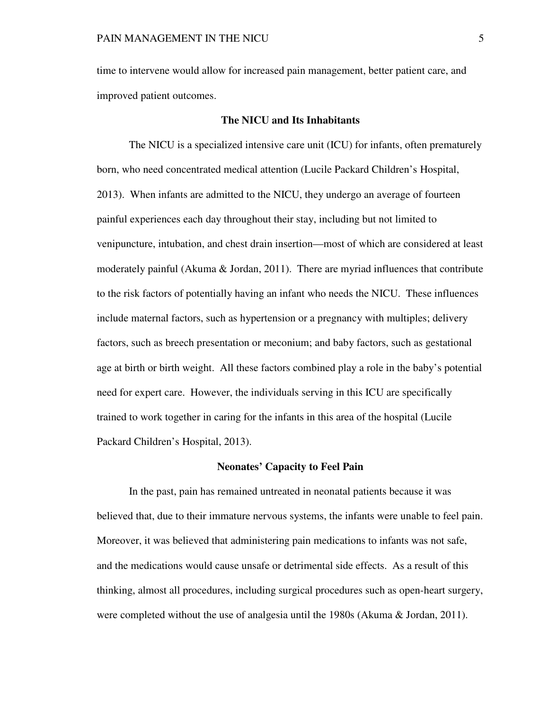time to intervene would allow for increased pain management, better patient care, and improved patient outcomes.

# **The NICU and Its Inhabitants**

 The NICU is a specialized intensive care unit (ICU) for infants, often prematurely born, who need concentrated medical attention (Lucile Packard Children's Hospital, 2013). When infants are admitted to the NICU, they undergo an average of fourteen painful experiences each day throughout their stay, including but not limited to venipuncture, intubation, and chest drain insertion—most of which are considered at least moderately painful (Akuma  $\&$  Jordan, 2011). There are myriad influences that contribute to the risk factors of potentially having an infant who needs the NICU. These influences include maternal factors, such as hypertension or a pregnancy with multiples; delivery factors, such as breech presentation or meconium; and baby factors, such as gestational age at birth or birth weight. All these factors combined play a role in the baby's potential need for expert care. However, the individuals serving in this ICU are specifically trained to work together in caring for the infants in this area of the hospital (Lucile Packard Children's Hospital, 2013).

### **Neonates' Capacity to Feel Pain**

 In the past, pain has remained untreated in neonatal patients because it was believed that, due to their immature nervous systems, the infants were unable to feel pain. Moreover, it was believed that administering pain medications to infants was not safe, and the medications would cause unsafe or detrimental side effects. As a result of this thinking, almost all procedures, including surgical procedures such as open-heart surgery, were completed without the use of analgesia until the 1980s (Akuma & Jordan, 2011).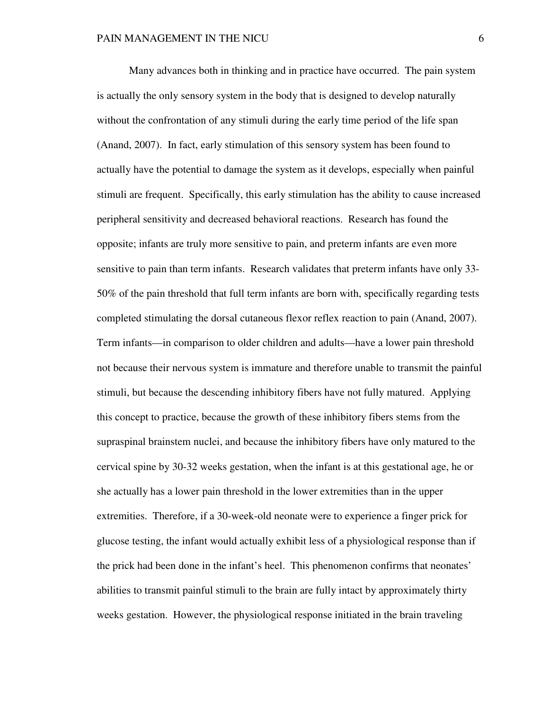Many advances both in thinking and in practice have occurred. The pain system is actually the only sensory system in the body that is designed to develop naturally without the confrontation of any stimuli during the early time period of the life span (Anand, 2007). In fact, early stimulation of this sensory system has been found to actually have the potential to damage the system as it develops, especially when painful stimuli are frequent. Specifically, this early stimulation has the ability to cause increased peripheral sensitivity and decreased behavioral reactions. Research has found the opposite; infants are truly more sensitive to pain, and preterm infants are even more sensitive to pain than term infants. Research validates that preterm infants have only 33- 50% of the pain threshold that full term infants are born with, specifically regarding tests completed stimulating the dorsal cutaneous flexor reflex reaction to pain (Anand, 2007). Term infants—in comparison to older children and adults—have a lower pain threshold not because their nervous system is immature and therefore unable to transmit the painful stimuli, but because the descending inhibitory fibers have not fully matured. Applying this concept to practice, because the growth of these inhibitory fibers stems from the supraspinal brainstem nuclei, and because the inhibitory fibers have only matured to the cervical spine by 30-32 weeks gestation, when the infant is at this gestational age, he or she actually has a lower pain threshold in the lower extremities than in the upper extremities. Therefore, if a 30-week-old neonate were to experience a finger prick for glucose testing, the infant would actually exhibit less of a physiological response than if the prick had been done in the infant's heel. This phenomenon confirms that neonates' abilities to transmit painful stimuli to the brain are fully intact by approximately thirty weeks gestation. However, the physiological response initiated in the brain traveling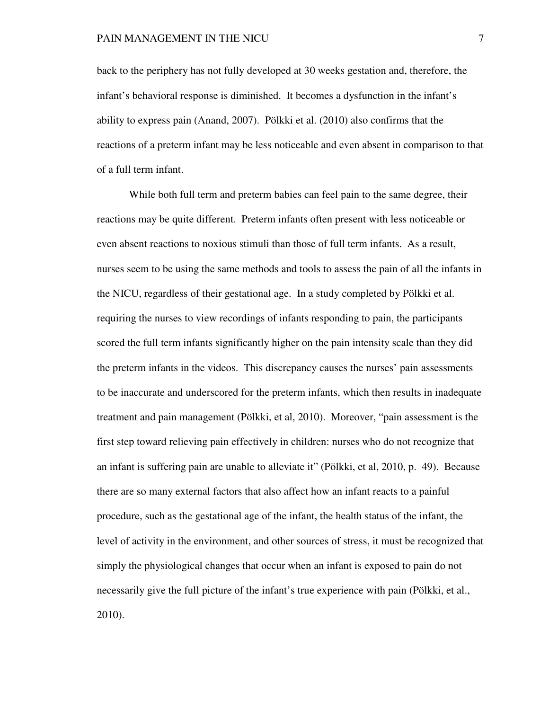back to the periphery has not fully developed at 30 weeks gestation and, therefore, the infant's behavioral response is diminished. It becomes a dysfunction in the infant's ability to express pain (Anand, 2007). Pölkki et al. (2010) also confirms that the reactions of a preterm infant may be less noticeable and even absent in comparison to that of a full term infant.

While both full term and preterm babies can feel pain to the same degree, their reactions may be quite different. Preterm infants often present with less noticeable or even absent reactions to noxious stimuli than those of full term infants. As a result, nurses seem to be using the same methods and tools to assess the pain of all the infants in the NICU, regardless of their gestational age. In a study completed by Pölkki et al. requiring the nurses to view recordings of infants responding to pain, the participants scored the full term infants significantly higher on the pain intensity scale than they did the preterm infants in the videos. This discrepancy causes the nurses' pain assessments to be inaccurate and underscored for the preterm infants, which then results in inadequate treatment and pain management (Pölkki, et al, 2010). Moreover, "pain assessment is the first step toward relieving pain effectively in children: nurses who do not recognize that an infant is suffering pain are unable to alleviate it" (Pölkki, et al, 2010, p. 49). Because there are so many external factors that also affect how an infant reacts to a painful procedure, such as the gestational age of the infant, the health status of the infant, the level of activity in the environment, and other sources of stress, it must be recognized that simply the physiological changes that occur when an infant is exposed to pain do not necessarily give the full picture of the infant's true experience with pain (Pölkki, et al., 2010).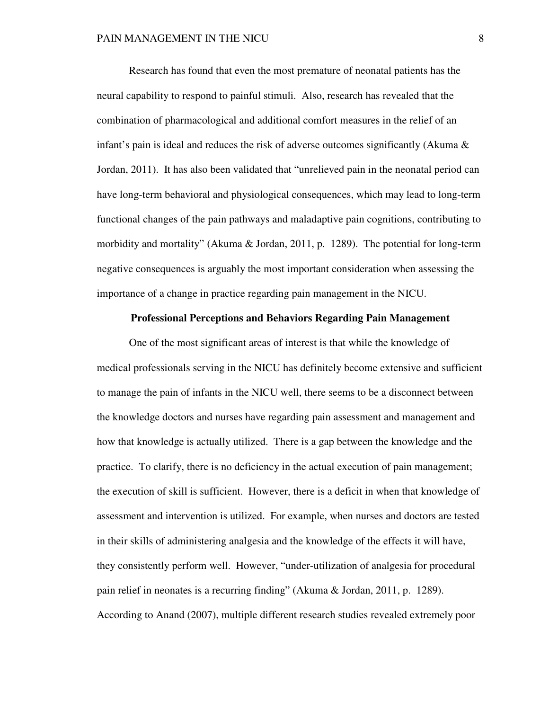Research has found that even the most premature of neonatal patients has the neural capability to respond to painful stimuli. Also, research has revealed that the combination of pharmacological and additional comfort measures in the relief of an infant's pain is ideal and reduces the risk of adverse outcomes significantly (Akuma  $\&$ Jordan, 2011). It has also been validated that "unrelieved pain in the neonatal period can have long-term behavioral and physiological consequences, which may lead to long-term functional changes of the pain pathways and maladaptive pain cognitions, contributing to morbidity and mortality" (Akuma & Jordan, 2011, p. 1289). The potential for long-term negative consequences is arguably the most important consideration when assessing the importance of a change in practice regarding pain management in the NICU.

# **Professional Perceptions and Behaviors Regarding Pain Management**

 One of the most significant areas of interest is that while the knowledge of medical professionals serving in the NICU has definitely become extensive and sufficient to manage the pain of infants in the NICU well, there seems to be a disconnect between the knowledge doctors and nurses have regarding pain assessment and management and how that knowledge is actually utilized. There is a gap between the knowledge and the practice. To clarify, there is no deficiency in the actual execution of pain management; the execution of skill is sufficient. However, there is a deficit in when that knowledge of assessment and intervention is utilized. For example, when nurses and doctors are tested in their skills of administering analgesia and the knowledge of the effects it will have, they consistently perform well. However, "under-utilization of analgesia for procedural pain relief in neonates is a recurring finding" (Akuma & Jordan, 2011, p. 1289). According to Anand (2007), multiple different research studies revealed extremely poor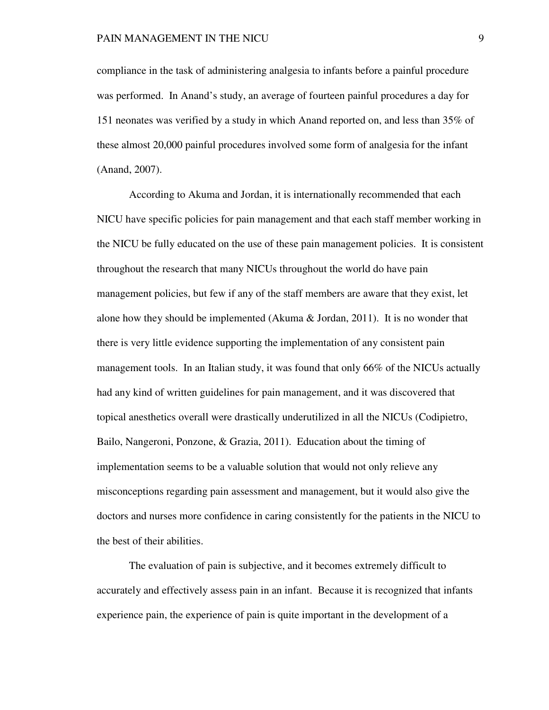compliance in the task of administering analgesia to infants before a painful procedure was performed. In Anand's study, an average of fourteen painful procedures a day for 151 neonates was verified by a study in which Anand reported on, and less than 35% of these almost 20,000 painful procedures involved some form of analgesia for the infant (Anand, 2007).

 According to Akuma and Jordan, it is internationally recommended that each NICU have specific policies for pain management and that each staff member working in the NICU be fully educated on the use of these pain management policies. It is consistent throughout the research that many NICUs throughout the world do have pain management policies, but few if any of the staff members are aware that they exist, let alone how they should be implemented (Akuma & Jordan, 2011). It is no wonder that there is very little evidence supporting the implementation of any consistent pain management tools. In an Italian study, it was found that only 66% of the NICUs actually had any kind of written guidelines for pain management, and it was discovered that topical anesthetics overall were drastically underutilized in all the NICUs (Codipietro, Bailo, Nangeroni, Ponzone, & Grazia, 2011). Education about the timing of implementation seems to be a valuable solution that would not only relieve any misconceptions regarding pain assessment and management, but it would also give the doctors and nurses more confidence in caring consistently for the patients in the NICU to the best of their abilities.

 The evaluation of pain is subjective, and it becomes extremely difficult to accurately and effectively assess pain in an infant. Because it is recognized that infants experience pain, the experience of pain is quite important in the development of a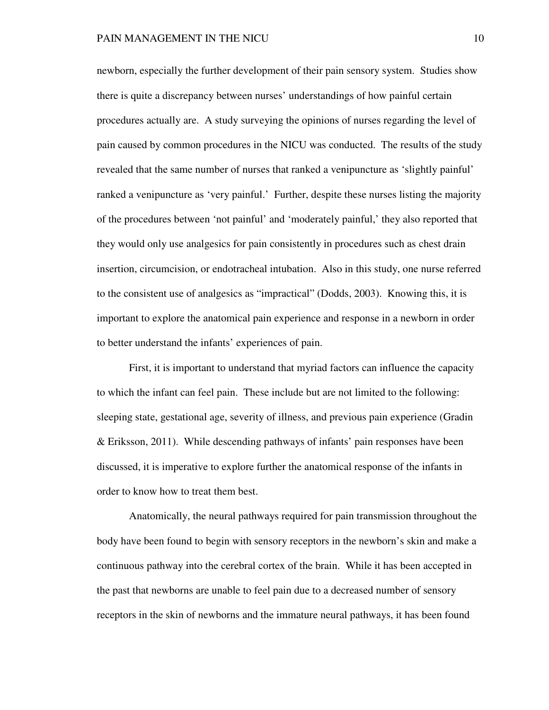newborn, especially the further development of their pain sensory system. Studies show there is quite a discrepancy between nurses' understandings of how painful certain procedures actually are. A study surveying the opinions of nurses regarding the level of pain caused by common procedures in the NICU was conducted. The results of the study revealed that the same number of nurses that ranked a venipuncture as 'slightly painful' ranked a venipuncture as 'very painful.' Further, despite these nurses listing the majority of the procedures between 'not painful' and 'moderately painful,' they also reported that they would only use analgesics for pain consistently in procedures such as chest drain insertion, circumcision, or endotracheal intubation. Also in this study, one nurse referred to the consistent use of analgesics as "impractical" (Dodds, 2003). Knowing this, it is important to explore the anatomical pain experience and response in a newborn in order to better understand the infants' experiences of pain.

 First, it is important to understand that myriad factors can influence the capacity to which the infant can feel pain. These include but are not limited to the following: sleeping state, gestational age, severity of illness, and previous pain experience (Gradin & Eriksson, 2011). While descending pathways of infants' pain responses have been discussed, it is imperative to explore further the anatomical response of the infants in order to know how to treat them best.

 Anatomically, the neural pathways required for pain transmission throughout the body have been found to begin with sensory receptors in the newborn's skin and make a continuous pathway into the cerebral cortex of the brain. While it has been accepted in the past that newborns are unable to feel pain due to a decreased number of sensory receptors in the skin of newborns and the immature neural pathways, it has been found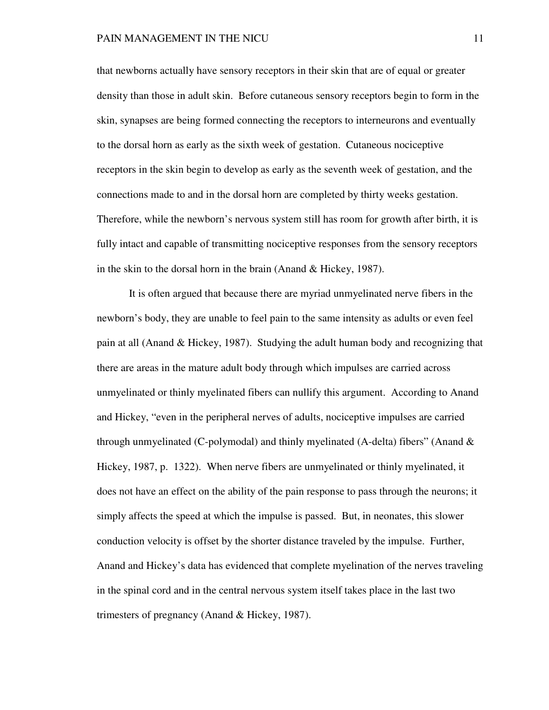that newborns actually have sensory receptors in their skin that are of equal or greater density than those in adult skin. Before cutaneous sensory receptors begin to form in the skin, synapses are being formed connecting the receptors to interneurons and eventually to the dorsal horn as early as the sixth week of gestation. Cutaneous nociceptive receptors in the skin begin to develop as early as the seventh week of gestation, and the connections made to and in the dorsal horn are completed by thirty weeks gestation. Therefore, while the newborn's nervous system still has room for growth after birth, it is fully intact and capable of transmitting nociceptive responses from the sensory receptors in the skin to the dorsal horn in the brain (Anand & Hickey, 1987).

It is often argued that because there are myriad unmyelinated nerve fibers in the newborn's body, they are unable to feel pain to the same intensity as adults or even feel pain at all (Anand & Hickey, 1987). Studying the adult human body and recognizing that there are areas in the mature adult body through which impulses are carried across unmyelinated or thinly myelinated fibers can nullify this argument. According to Anand and Hickey, "even in the peripheral nerves of adults, nociceptive impulses are carried through unmyelinated (C-polymodal) and thinly myelinated (A-delta) fibers" (Anand  $\&$ Hickey, 1987, p. 1322). When nerve fibers are unmyelinated or thinly myelinated, it does not have an effect on the ability of the pain response to pass through the neurons; it simply affects the speed at which the impulse is passed. But, in neonates, this slower conduction velocity is offset by the shorter distance traveled by the impulse. Further, Anand and Hickey's data has evidenced that complete myelination of the nerves traveling in the spinal cord and in the central nervous system itself takes place in the last two trimesters of pregnancy (Anand & Hickey, 1987).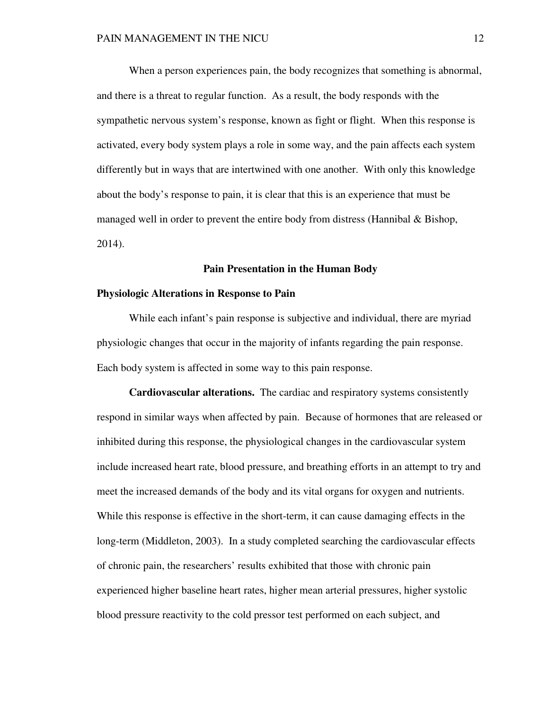When a person experiences pain, the body recognizes that something is abnormal, and there is a threat to regular function. As a result, the body responds with the sympathetic nervous system's response, known as fight or flight. When this response is activated, every body system plays a role in some way, and the pain affects each system differently but in ways that are intertwined with one another. With only this knowledge about the body's response to pain, it is clear that this is an experience that must be managed well in order to prevent the entire body from distress (Hannibal & Bishop, 2014).

### **Pain Presentation in the Human Body**

# **Physiologic Alterations in Response to Pain**

While each infant's pain response is subjective and individual, there are myriad physiologic changes that occur in the majority of infants regarding the pain response. Each body system is affected in some way to this pain response.

**Cardiovascular alterations.** The cardiac and respiratory systems consistently respond in similar ways when affected by pain. Because of hormones that are released or inhibited during this response, the physiological changes in the cardiovascular system include increased heart rate, blood pressure, and breathing efforts in an attempt to try and meet the increased demands of the body and its vital organs for oxygen and nutrients. While this response is effective in the short-term, it can cause damaging effects in the long-term (Middleton, 2003). In a study completed searching the cardiovascular effects of chronic pain, the researchers' results exhibited that those with chronic pain experienced higher baseline heart rates, higher mean arterial pressures, higher systolic blood pressure reactivity to the cold pressor test performed on each subject, and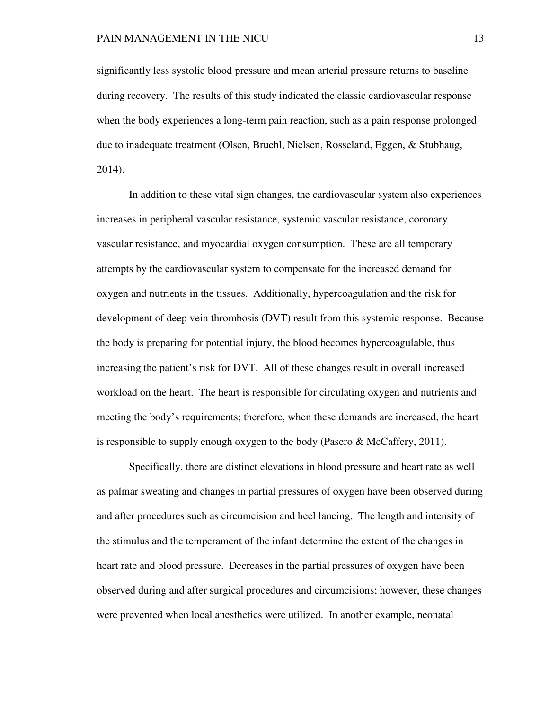significantly less systolic blood pressure and mean arterial pressure returns to baseline during recovery. The results of this study indicated the classic cardiovascular response when the body experiences a long-term pain reaction, such as a pain response prolonged due to inadequate treatment (Olsen, Bruehl, Nielsen, Rosseland, Eggen, & Stubhaug, 2014).

In addition to these vital sign changes, the cardiovascular system also experiences increases in peripheral vascular resistance, systemic vascular resistance, coronary vascular resistance, and myocardial oxygen consumption. These are all temporary attempts by the cardiovascular system to compensate for the increased demand for oxygen and nutrients in the tissues. Additionally, hypercoagulation and the risk for development of deep vein thrombosis (DVT) result from this systemic response. Because the body is preparing for potential injury, the blood becomes hypercoagulable, thus increasing the patient's risk for DVT. All of these changes result in overall increased workload on the heart. The heart is responsible for circulating oxygen and nutrients and meeting the body's requirements; therefore, when these demands are increased, the heart is responsible to supply enough oxygen to the body (Pasero & McCaffery, 2011).

Specifically, there are distinct elevations in blood pressure and heart rate as well as palmar sweating and changes in partial pressures of oxygen have been observed during and after procedures such as circumcision and heel lancing. The length and intensity of the stimulus and the temperament of the infant determine the extent of the changes in heart rate and blood pressure. Decreases in the partial pressures of oxygen have been observed during and after surgical procedures and circumcisions; however, these changes were prevented when local anesthetics were utilized. In another example, neonatal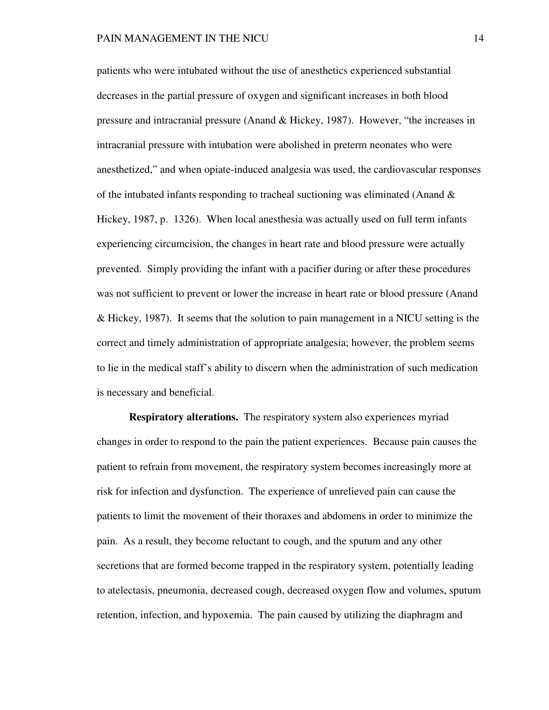patients who were intubated without the use of anesthetics experienced substantial decreases in the partial pressure of oxygen and significant increases in both blood pressure and intracranial pressure (Anand & Hickey, 1987). However, "the increases in intracranial pressure with intubation were abolished in preterm neonates who were anesthetized," and when opiate-induced analgesia was used, the cardiovascular responses of the intubated infants responding to tracheal suctioning was eliminated (Anand  $\&$ Hickey, 1987, p. 1326). When local anesthesia was actually used on full term infants experiencing circumcision, the changes in heart rate and blood pressure were actually prevented. Simply providing the infant with a pacifier during or after these procedures was not sufficient to prevent or lower the increase in heart rate or blood pressure (Anand & Hickey, 1987). It seems that the solution to pain management in a NICU setting is the correct and timely administration of appropriate analgesia; however, the problem seems to lie in the medical staff's ability to discern when the administration of such medication is necessary and beneficial.

**Respiratory alterations.** The respiratory system also experiences myriad changes in order to respond to the pain the patient experiences. Because pain causes the patient to refrain from movement, the respiratory system becomes increasingly more at risk for infection and dysfunction. The experience of unrelieved pain can cause the patients to limit the movement of their thoraxes and abdomens in order to minimize the pain. As a result, they become reluctant to cough, and the sputum and any other secretions that are formed become trapped in the respiratory system, potentially leading to atelectasis, pneumonia, decreased cough, decreased oxygen flow and volumes, sputum retention, infection, and hypoxemia. The pain caused by utilizing the diaphragm and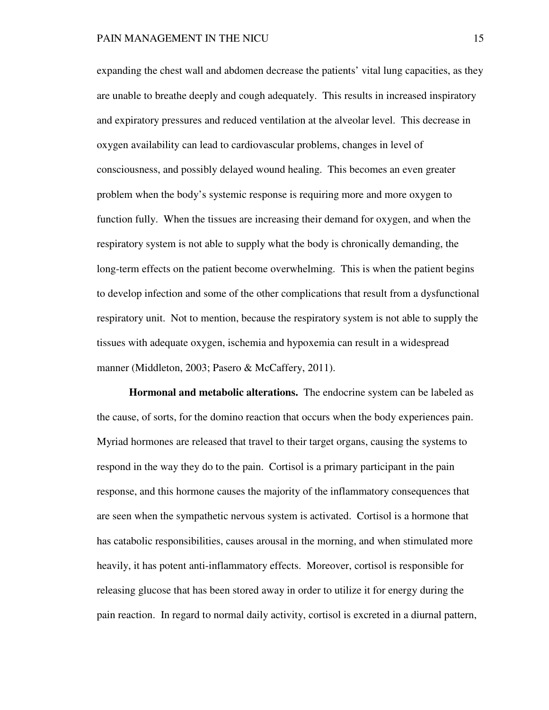expanding the chest wall and abdomen decrease the patients' vital lung capacities, as they are unable to breathe deeply and cough adequately. This results in increased inspiratory and expiratory pressures and reduced ventilation at the alveolar level. This decrease in oxygen availability can lead to cardiovascular problems, changes in level of consciousness, and possibly delayed wound healing. This becomes an even greater problem when the body's systemic response is requiring more and more oxygen to function fully. When the tissues are increasing their demand for oxygen, and when the respiratory system is not able to supply what the body is chronically demanding, the long-term effects on the patient become overwhelming. This is when the patient begins to develop infection and some of the other complications that result from a dysfunctional respiratory unit. Not to mention, because the respiratory system is not able to supply the tissues with adequate oxygen, ischemia and hypoxemia can result in a widespread manner (Middleton, 2003; Pasero & McCaffery, 2011).

**Hormonal and metabolic alterations.** The endocrine system can be labeled as the cause, of sorts, for the domino reaction that occurs when the body experiences pain. Myriad hormones are released that travel to their target organs, causing the systems to respond in the way they do to the pain. Cortisol is a primary participant in the pain response, and this hormone causes the majority of the inflammatory consequences that are seen when the sympathetic nervous system is activated. Cortisol is a hormone that has catabolic responsibilities, causes arousal in the morning, and when stimulated more heavily, it has potent anti-inflammatory effects. Moreover, cortisol is responsible for releasing glucose that has been stored away in order to utilize it for energy during the pain reaction. In regard to normal daily activity, cortisol is excreted in a diurnal pattern,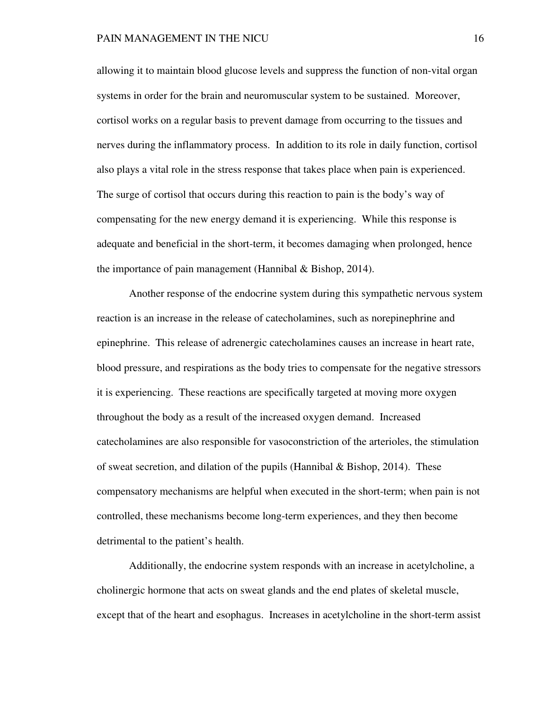allowing it to maintain blood glucose levels and suppress the function of non-vital organ systems in order for the brain and neuromuscular system to be sustained. Moreover, cortisol works on a regular basis to prevent damage from occurring to the tissues and nerves during the inflammatory process. In addition to its role in daily function, cortisol also plays a vital role in the stress response that takes place when pain is experienced. The surge of cortisol that occurs during this reaction to pain is the body's way of compensating for the new energy demand it is experiencing. While this response is adequate and beneficial in the short-term, it becomes damaging when prolonged, hence the importance of pain management (Hannibal & Bishop, 2014).

Another response of the endocrine system during this sympathetic nervous system reaction is an increase in the release of catecholamines, such as norepinephrine and epinephrine. This release of adrenergic catecholamines causes an increase in heart rate, blood pressure, and respirations as the body tries to compensate for the negative stressors it is experiencing. These reactions are specifically targeted at moving more oxygen throughout the body as a result of the increased oxygen demand. Increased catecholamines are also responsible for vasoconstriction of the arterioles, the stimulation of sweat secretion, and dilation of the pupils (Hannibal & Bishop, 2014). These compensatory mechanisms are helpful when executed in the short-term; when pain is not controlled, these mechanisms become long-term experiences, and they then become detrimental to the patient's health.

Additionally, the endocrine system responds with an increase in acetylcholine, a cholinergic hormone that acts on sweat glands and the end plates of skeletal muscle, except that of the heart and esophagus. Increases in acetylcholine in the short-term assist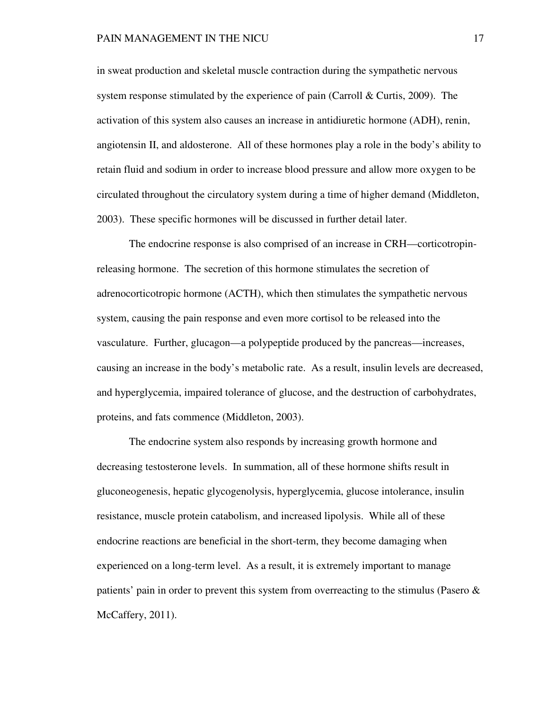in sweat production and skeletal muscle contraction during the sympathetic nervous system response stimulated by the experience of pain (Carroll & Curtis, 2009). The activation of this system also causes an increase in antidiuretic hormone (ADH), renin, angiotensin II, and aldosterone. All of these hormones play a role in the body's ability to retain fluid and sodium in order to increase blood pressure and allow more oxygen to be circulated throughout the circulatory system during a time of higher demand (Middleton, 2003). These specific hormones will be discussed in further detail later.

The endocrine response is also comprised of an increase in CRH—corticotropinreleasing hormone. The secretion of this hormone stimulates the secretion of adrenocorticotropic hormone (ACTH), which then stimulates the sympathetic nervous system, causing the pain response and even more cortisol to be released into the vasculature. Further, glucagon—a polypeptide produced by the pancreas—increases, causing an increase in the body's metabolic rate. As a result, insulin levels are decreased, and hyperglycemia, impaired tolerance of glucose, and the destruction of carbohydrates, proteins, and fats commence (Middleton, 2003).

The endocrine system also responds by increasing growth hormone and decreasing testosterone levels. In summation, all of these hormone shifts result in gluconeogenesis, hepatic glycogenolysis, hyperglycemia, glucose intolerance, insulin resistance, muscle protein catabolism, and increased lipolysis. While all of these endocrine reactions are beneficial in the short-term, they become damaging when experienced on a long-term level. As a result, it is extremely important to manage patients' pain in order to prevent this system from overreacting to the stimulus (Pasero & McCaffery, 2011).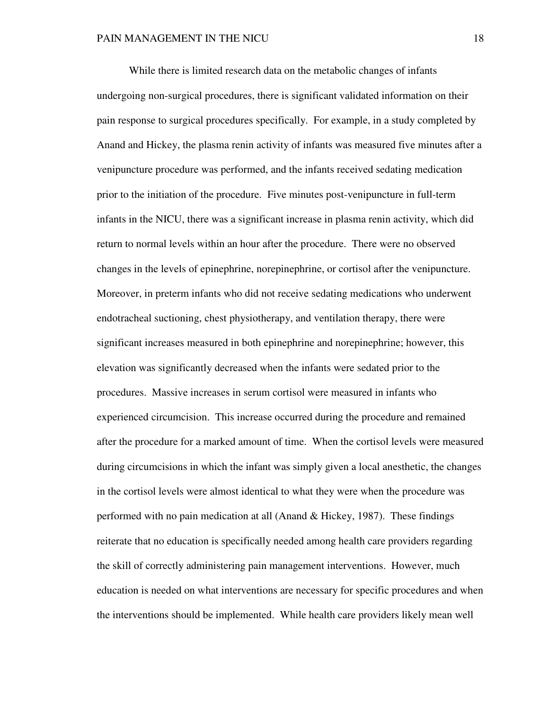While there is limited research data on the metabolic changes of infants undergoing non-surgical procedures, there is significant validated information on their pain response to surgical procedures specifically. For example, in a study completed by Anand and Hickey, the plasma renin activity of infants was measured five minutes after a venipuncture procedure was performed, and the infants received sedating medication prior to the initiation of the procedure. Five minutes post-venipuncture in full-term infants in the NICU, there was a significant increase in plasma renin activity, which did return to normal levels within an hour after the procedure. There were no observed changes in the levels of epinephrine, norepinephrine, or cortisol after the venipuncture. Moreover, in preterm infants who did not receive sedating medications who underwent endotracheal suctioning, chest physiotherapy, and ventilation therapy, there were significant increases measured in both epinephrine and norepinephrine; however, this elevation was significantly decreased when the infants were sedated prior to the procedures. Massive increases in serum cortisol were measured in infants who experienced circumcision. This increase occurred during the procedure and remained after the procedure for a marked amount of time. When the cortisol levels were measured during circumcisions in which the infant was simply given a local anesthetic, the changes in the cortisol levels were almost identical to what they were when the procedure was performed with no pain medication at all (Anand & Hickey, 1987). These findings reiterate that no education is specifically needed among health care providers regarding the skill of correctly administering pain management interventions. However, much education is needed on what interventions are necessary for specific procedures and when the interventions should be implemented. While health care providers likely mean well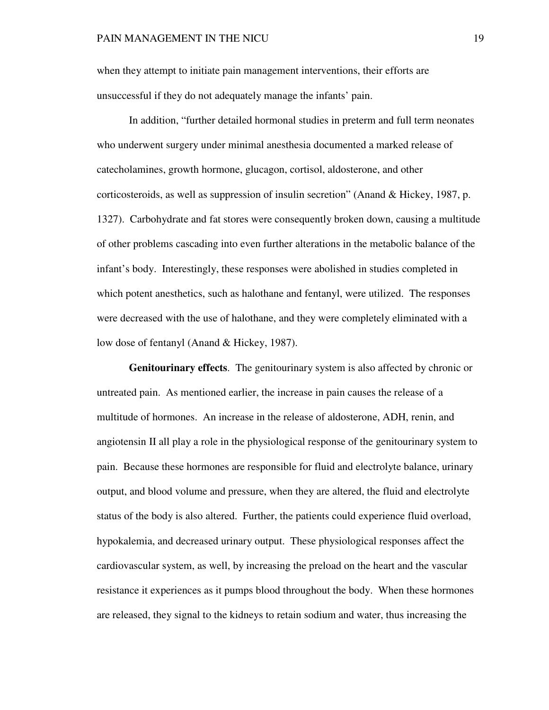when they attempt to initiate pain management interventions, their efforts are unsuccessful if they do not adequately manage the infants' pain.

In addition, "further detailed hormonal studies in preterm and full term neonates who underwent surgery under minimal anesthesia documented a marked release of catecholamines, growth hormone, glucagon, cortisol, aldosterone, and other corticosteroids, as well as suppression of insulin secretion" (Anand & Hickey, 1987, p. 1327). Carbohydrate and fat stores were consequently broken down, causing a multitude of other problems cascading into even further alterations in the metabolic balance of the infant's body. Interestingly, these responses were abolished in studies completed in which potent anesthetics, such as halothane and fentanyl, were utilized. The responses were decreased with the use of halothane, and they were completely eliminated with a low dose of fentanyl (Anand & Hickey, 1987).

**Genitourinary effects**. The genitourinary system is also affected by chronic or untreated pain. As mentioned earlier, the increase in pain causes the release of a multitude of hormones. An increase in the release of aldosterone, ADH, renin, and angiotensin II all play a role in the physiological response of the genitourinary system to pain. Because these hormones are responsible for fluid and electrolyte balance, urinary output, and blood volume and pressure, when they are altered, the fluid and electrolyte status of the body is also altered. Further, the patients could experience fluid overload, hypokalemia, and decreased urinary output. These physiological responses affect the cardiovascular system, as well, by increasing the preload on the heart and the vascular resistance it experiences as it pumps blood throughout the body. When these hormones are released, they signal to the kidneys to retain sodium and water, thus increasing the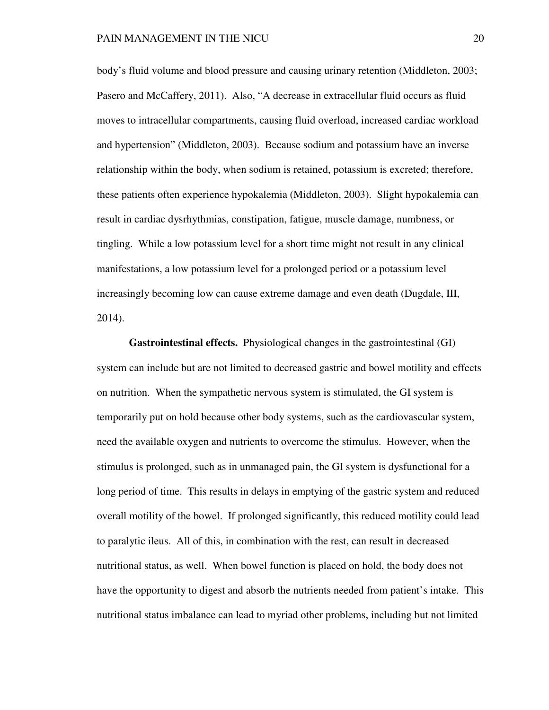body's fluid volume and blood pressure and causing urinary retention (Middleton, 2003; Pasero and McCaffery, 2011). Also, "A decrease in extracellular fluid occurs as fluid moves to intracellular compartments, causing fluid overload, increased cardiac workload and hypertension" (Middleton, 2003). Because sodium and potassium have an inverse relationship within the body, when sodium is retained, potassium is excreted; therefore, these patients often experience hypokalemia (Middleton, 2003). Slight hypokalemia can result in cardiac dysrhythmias, constipation, fatigue, muscle damage, numbness, or tingling. While a low potassium level for a short time might not result in any clinical manifestations, a low potassium level for a prolonged period or a potassium level increasingly becoming low can cause extreme damage and even death (Dugdale, III, 2014).

**Gastrointestinal effects.** Physiological changes in the gastrointestinal (GI) system can include but are not limited to decreased gastric and bowel motility and effects on nutrition. When the sympathetic nervous system is stimulated, the GI system is temporarily put on hold because other body systems, such as the cardiovascular system, need the available oxygen and nutrients to overcome the stimulus. However, when the stimulus is prolonged, such as in unmanaged pain, the GI system is dysfunctional for a long period of time. This results in delays in emptying of the gastric system and reduced overall motility of the bowel. If prolonged significantly, this reduced motility could lead to paralytic ileus. All of this, in combination with the rest, can result in decreased nutritional status, as well. When bowel function is placed on hold, the body does not have the opportunity to digest and absorb the nutrients needed from patient's intake. This nutritional status imbalance can lead to myriad other problems, including but not limited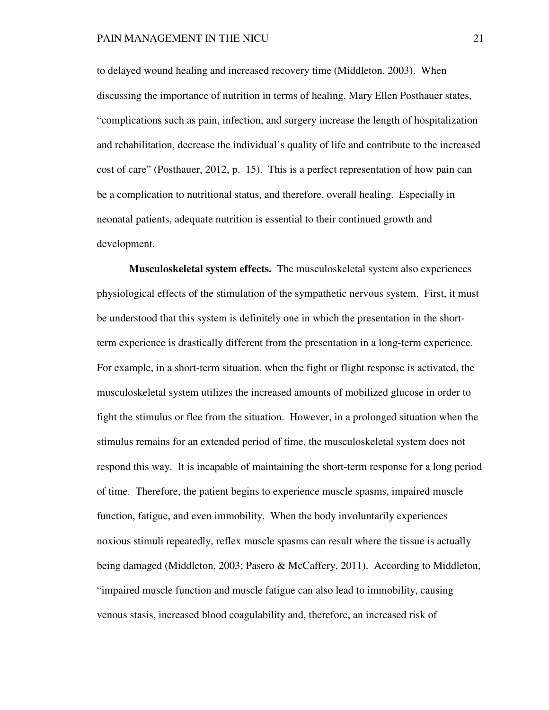to delayed wound healing and increased recovery time (Middleton, 2003). When discussing the importance of nutrition in terms of healing, Mary Ellen Posthauer states, "complications such as pain, infection, and surgery increase the length of hospitalization and rehabilitation, decrease the individual's quality of life and contribute to the increased cost of care" (Posthauer, 2012, p. 15). This is a perfect representation of how pain can be a complication to nutritional status, and therefore, overall healing. Especially in neonatal patients, adequate nutrition is essential to their continued growth and development.

**Musculoskeletal system effects.** The musculoskeletal system also experiences physiological effects of the stimulation of the sympathetic nervous system. First, it must be understood that this system is definitely one in which the presentation in the shortterm experience is drastically different from the presentation in a long-term experience. For example, in a short-term situation, when the fight or flight response is activated, the musculoskeletal system utilizes the increased amounts of mobilized glucose in order to fight the stimulus or flee from the situation. However, in a prolonged situation when the stimulus remains for an extended period of time, the musculoskeletal system does not respond this way. It is incapable of maintaining the short-term response for a long period of time. Therefore, the patient begins to experience muscle spasms, impaired muscle function, fatigue, and even immobility. When the body involuntarily experiences noxious stimuli repeatedly, reflex muscle spasms can result where the tissue is actually being damaged (Middleton, 2003; Pasero & McCaffery, 2011). According to Middleton, "impaired muscle function and muscle fatigue can also lead to immobility, causing venous stasis, increased blood coagulability and, therefore, an increased risk of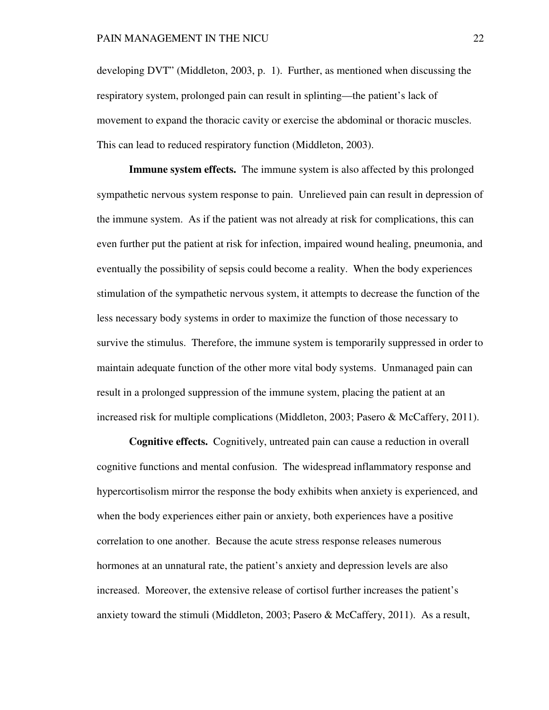developing DVT" (Middleton, 2003, p. 1). Further, as mentioned when discussing the respiratory system, prolonged pain can result in splinting—the patient's lack of movement to expand the thoracic cavity or exercise the abdominal or thoracic muscles. This can lead to reduced respiratory function (Middleton, 2003).

**Immune system effects.** The immune system is also affected by this prolonged sympathetic nervous system response to pain. Unrelieved pain can result in depression of the immune system. As if the patient was not already at risk for complications, this can even further put the patient at risk for infection, impaired wound healing, pneumonia, and eventually the possibility of sepsis could become a reality. When the body experiences stimulation of the sympathetic nervous system, it attempts to decrease the function of the less necessary body systems in order to maximize the function of those necessary to survive the stimulus. Therefore, the immune system is temporarily suppressed in order to maintain adequate function of the other more vital body systems. Unmanaged pain can result in a prolonged suppression of the immune system, placing the patient at an increased risk for multiple complications (Middleton, 2003; Pasero & McCaffery, 2011).

**Cognitive effects.** Cognitively, untreated pain can cause a reduction in overall cognitive functions and mental confusion. The widespread inflammatory response and hypercortisolism mirror the response the body exhibits when anxiety is experienced, and when the body experiences either pain or anxiety, both experiences have a positive correlation to one another. Because the acute stress response releases numerous hormones at an unnatural rate, the patient's anxiety and depression levels are also increased. Moreover, the extensive release of cortisol further increases the patient's anxiety toward the stimuli (Middleton, 2003; Pasero & McCaffery, 2011). As a result,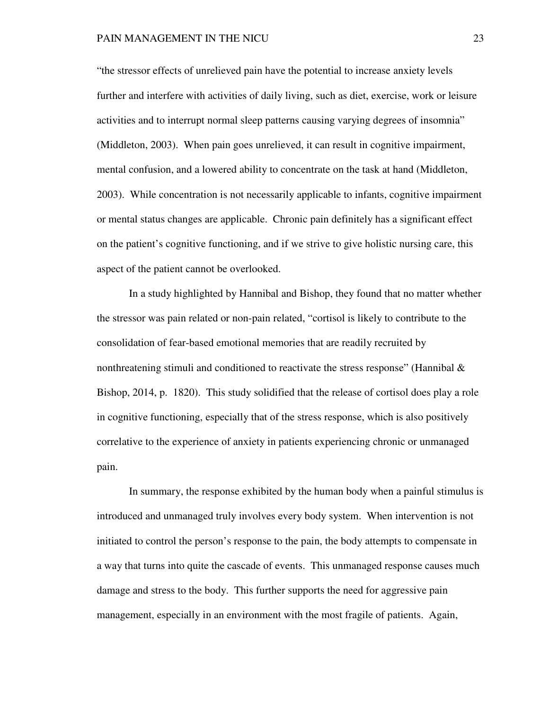"the stressor effects of unrelieved pain have the potential to increase anxiety levels further and interfere with activities of daily living, such as diet, exercise, work or leisure activities and to interrupt normal sleep patterns causing varying degrees of insomnia" (Middleton, 2003). When pain goes unrelieved, it can result in cognitive impairment, mental confusion, and a lowered ability to concentrate on the task at hand (Middleton, 2003). While concentration is not necessarily applicable to infants, cognitive impairment or mental status changes are applicable. Chronic pain definitely has a significant effect on the patient's cognitive functioning, and if we strive to give holistic nursing care, this aspect of the patient cannot be overlooked.

In a study highlighted by Hannibal and Bishop, they found that no matter whether the stressor was pain related or non-pain related, "cortisol is likely to contribute to the consolidation of fear-based emotional memories that are readily recruited by nonthreatening stimuli and conditioned to reactivate the stress response" (Hannibal & Bishop, 2014, p. 1820). This study solidified that the release of cortisol does play a role in cognitive functioning, especially that of the stress response, which is also positively correlative to the experience of anxiety in patients experiencing chronic or unmanaged pain.

In summary, the response exhibited by the human body when a painful stimulus is introduced and unmanaged truly involves every body system. When intervention is not initiated to control the person's response to the pain, the body attempts to compensate in a way that turns into quite the cascade of events. This unmanaged response causes much damage and stress to the body. This further supports the need for aggressive pain management, especially in an environment with the most fragile of patients. Again,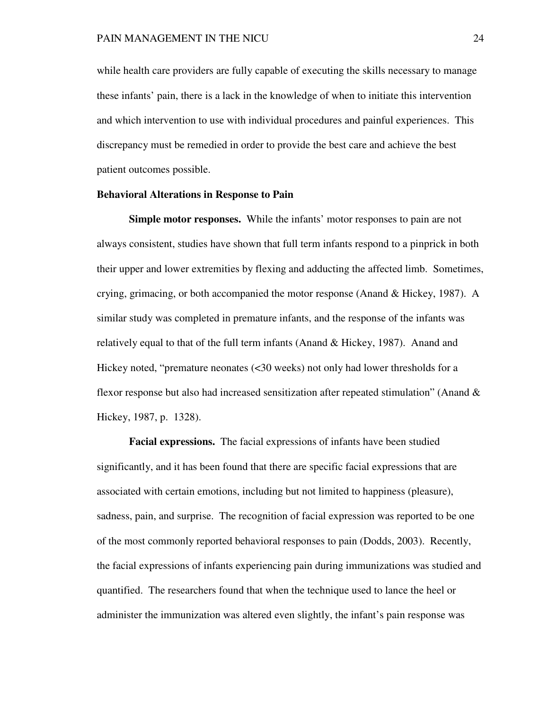while health care providers are fully capable of executing the skills necessary to manage these infants' pain, there is a lack in the knowledge of when to initiate this intervention and which intervention to use with individual procedures and painful experiences. This discrepancy must be remedied in order to provide the best care and achieve the best patient outcomes possible.

## **Behavioral Alterations in Response to Pain**

**Simple motor responses.** While the infants' motor responses to pain are not always consistent, studies have shown that full term infants respond to a pinprick in both their upper and lower extremities by flexing and adducting the affected limb. Sometimes, crying, grimacing, or both accompanied the motor response (Anand & Hickey, 1987). A similar study was completed in premature infants, and the response of the infants was relatively equal to that of the full term infants (Anand  $\&$  Hickey, 1987). Anand and Hickey noted, "premature neonates (<30 weeks) not only had lower thresholds for a flexor response but also had increased sensitization after repeated stimulation" (Anand & Hickey, 1987, p. 1328).

**Facial expressions.** The facial expressions of infants have been studied significantly, and it has been found that there are specific facial expressions that are associated with certain emotions, including but not limited to happiness (pleasure), sadness, pain, and surprise. The recognition of facial expression was reported to be one of the most commonly reported behavioral responses to pain (Dodds, 2003). Recently, the facial expressions of infants experiencing pain during immunizations was studied and quantified. The researchers found that when the technique used to lance the heel or administer the immunization was altered even slightly, the infant's pain response was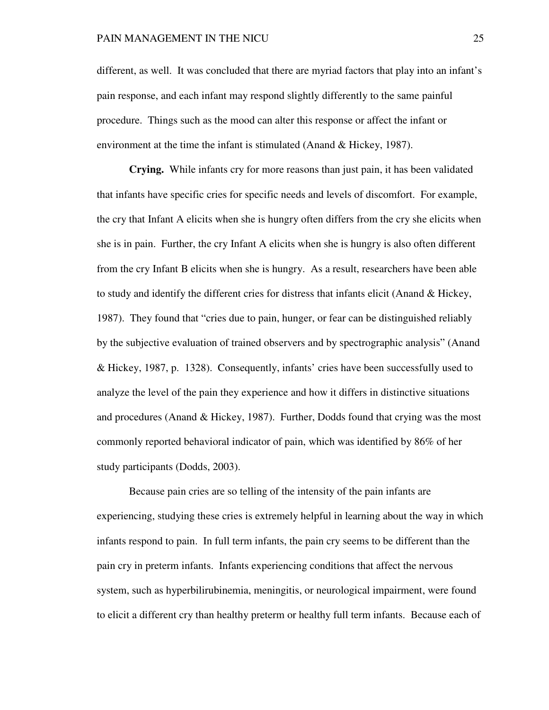different, as well. It was concluded that there are myriad factors that play into an infant's pain response, and each infant may respond slightly differently to the same painful procedure. Things such as the mood can alter this response or affect the infant or environment at the time the infant is stimulated (Anand & Hickey, 1987).

**Crying.** While infants cry for more reasons than just pain, it has been validated that infants have specific cries for specific needs and levels of discomfort. For example, the cry that Infant A elicits when she is hungry often differs from the cry she elicits when she is in pain. Further, the cry Infant A elicits when she is hungry is also often different from the cry Infant B elicits when she is hungry. As a result, researchers have been able to study and identify the different cries for distress that infants elicit (Anand & Hickey, 1987). They found that "cries due to pain, hunger, or fear can be distinguished reliably by the subjective evaluation of trained observers and by spectrographic analysis" (Anand & Hickey, 1987, p. 1328). Consequently, infants' cries have been successfully used to analyze the level of the pain they experience and how it differs in distinctive situations and procedures (Anand  $& Hickey, 1987$ ). Further, Dodds found that crying was the most commonly reported behavioral indicator of pain, which was identified by 86% of her study participants (Dodds, 2003).

 Because pain cries are so telling of the intensity of the pain infants are experiencing, studying these cries is extremely helpful in learning about the way in which infants respond to pain. In full term infants, the pain cry seems to be different than the pain cry in preterm infants. Infants experiencing conditions that affect the nervous system, such as hyperbilirubinemia, meningitis, or neurological impairment, were found to elicit a different cry than healthy preterm or healthy full term infants. Because each of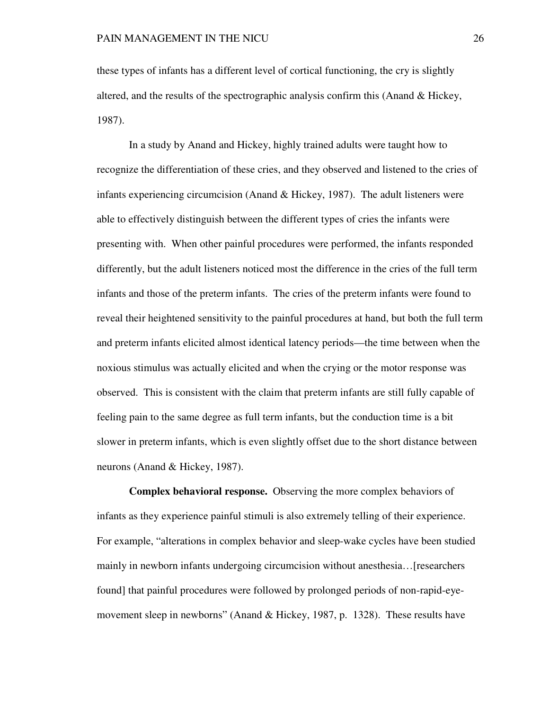these types of infants has a different level of cortical functioning, the cry is slightly altered, and the results of the spectrographic analysis confirm this (Anand & Hickey, 1987).

 In a study by Anand and Hickey, highly trained adults were taught how to recognize the differentiation of these cries, and they observed and listened to the cries of infants experiencing circumcision (Anand  $&$  Hickey, 1987). The adult listeners were able to effectively distinguish between the different types of cries the infants were presenting with. When other painful procedures were performed, the infants responded differently, but the adult listeners noticed most the difference in the cries of the full term infants and those of the preterm infants. The cries of the preterm infants were found to reveal their heightened sensitivity to the painful procedures at hand, but both the full term and preterm infants elicited almost identical latency periods—the time between when the noxious stimulus was actually elicited and when the crying or the motor response was observed. This is consistent with the claim that preterm infants are still fully capable of feeling pain to the same degree as full term infants, but the conduction time is a bit slower in preterm infants, which is even slightly offset due to the short distance between neurons (Anand & Hickey, 1987).

**Complex behavioral response.** Observing the more complex behaviors of infants as they experience painful stimuli is also extremely telling of their experience. For example, "alterations in complex behavior and sleep-wake cycles have been studied mainly in newborn infants undergoing circumcision without anesthesia…[researchers found] that painful procedures were followed by prolonged periods of non-rapid-eyemovement sleep in newborns" (Anand & Hickey, 1987, p. 1328). These results have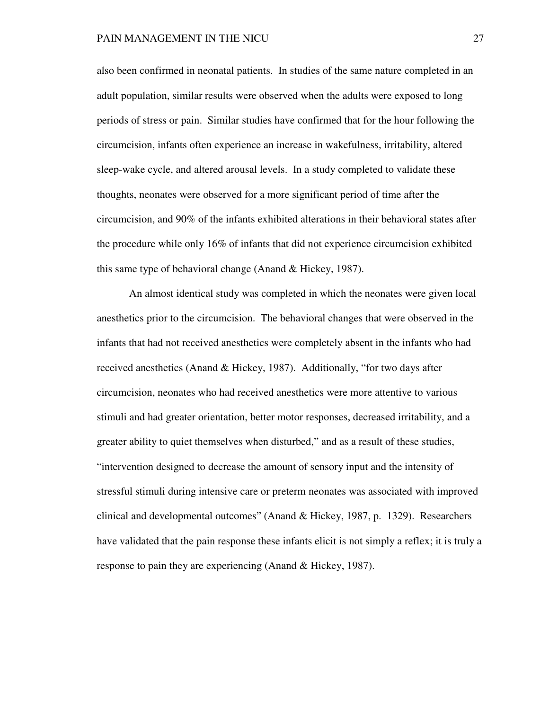also been confirmed in neonatal patients. In studies of the same nature completed in an adult population, similar results were observed when the adults were exposed to long periods of stress or pain. Similar studies have confirmed that for the hour following the circumcision, infants often experience an increase in wakefulness, irritability, altered sleep-wake cycle, and altered arousal levels. In a study completed to validate these thoughts, neonates were observed for a more significant period of time after the circumcision, and 90% of the infants exhibited alterations in their behavioral states after the procedure while only 16% of infants that did not experience circumcision exhibited this same type of behavioral change (Anand & Hickey, 1987).

 An almost identical study was completed in which the neonates were given local anesthetics prior to the circumcision. The behavioral changes that were observed in the infants that had not received anesthetics were completely absent in the infants who had received anesthetics (Anand & Hickey, 1987). Additionally, "for two days after circumcision, neonates who had received anesthetics were more attentive to various stimuli and had greater orientation, better motor responses, decreased irritability, and a greater ability to quiet themselves when disturbed," and as a result of these studies, "intervention designed to decrease the amount of sensory input and the intensity of stressful stimuli during intensive care or preterm neonates was associated with improved clinical and developmental outcomes" (Anand & Hickey, 1987, p. 1329). Researchers have validated that the pain response these infants elicit is not simply a reflex; it is truly a response to pain they are experiencing (Anand & Hickey, 1987).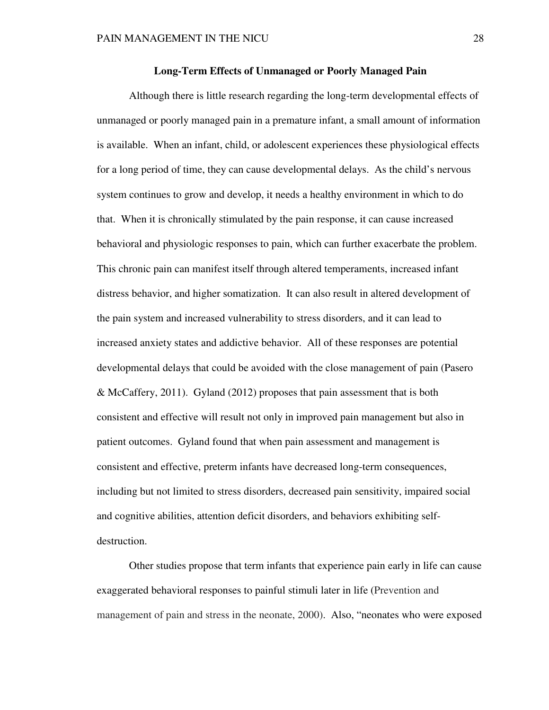## **Long-Term Effects of Unmanaged or Poorly Managed Pain**

 Although there is little research regarding the long-term developmental effects of unmanaged or poorly managed pain in a premature infant, a small amount of information is available. When an infant, child, or adolescent experiences these physiological effects for a long period of time, they can cause developmental delays. As the child's nervous system continues to grow and develop, it needs a healthy environment in which to do that. When it is chronically stimulated by the pain response, it can cause increased behavioral and physiologic responses to pain, which can further exacerbate the problem. This chronic pain can manifest itself through altered temperaments, increased infant distress behavior, and higher somatization. It can also result in altered development of the pain system and increased vulnerability to stress disorders, and it can lead to increased anxiety states and addictive behavior. All of these responses are potential developmental delays that could be avoided with the close management of pain (Pasero & McCaffery, 2011). Gyland (2012) proposes that pain assessment that is both consistent and effective will result not only in improved pain management but also in patient outcomes. Gyland found that when pain assessment and management is consistent and effective, preterm infants have decreased long-term consequences, including but not limited to stress disorders, decreased pain sensitivity, impaired social and cognitive abilities, attention deficit disorders, and behaviors exhibiting selfdestruction.

 Other studies propose that term infants that experience pain early in life can cause exaggerated behavioral responses to painful stimuli later in life (Prevention and management of pain and stress in the neonate, 2000). Also, "neonates who were exposed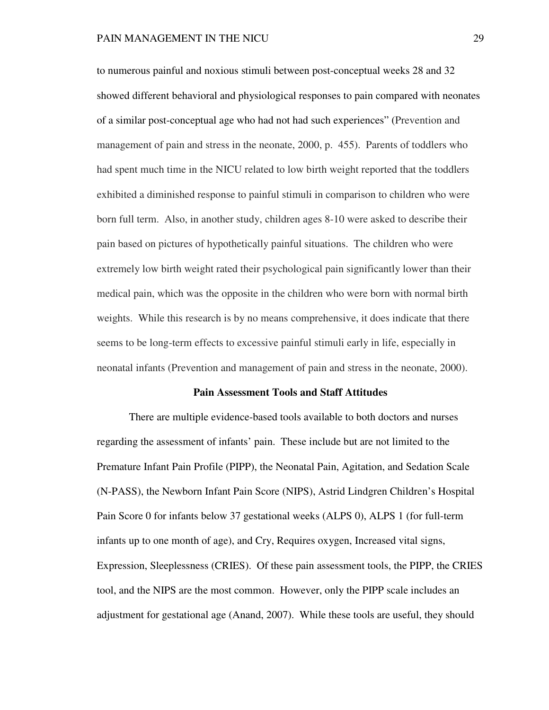to numerous painful and noxious stimuli between post-conceptual weeks 28 and 32 showed different behavioral and physiological responses to pain compared with neonates of a similar post-conceptual age who had not had such experiences" (Prevention and management of pain and stress in the neonate, 2000, p. 455). Parents of toddlers who had spent much time in the NICU related to low birth weight reported that the toddlers exhibited a diminished response to painful stimuli in comparison to children who were born full term. Also, in another study, children ages 8-10 were asked to describe their pain based on pictures of hypothetically painful situations. The children who were extremely low birth weight rated their psychological pain significantly lower than their medical pain, which was the opposite in the children who were born with normal birth weights. While this research is by no means comprehensive, it does indicate that there seems to be long-term effects to excessive painful stimuli early in life, especially in neonatal infants (Prevention and management of pain and stress in the neonate, 2000).

### **Pain Assessment Tools and Staff Attitudes**

 There are multiple evidence-based tools available to both doctors and nurses regarding the assessment of infants' pain. These include but are not limited to the Premature Infant Pain Profile (PIPP), the Neonatal Pain, Agitation, and Sedation Scale (N-PASS), the Newborn Infant Pain Score (NIPS), Astrid Lindgren Children's Hospital Pain Score 0 for infants below 37 gestational weeks (ALPS 0), ALPS 1 (for full-term infants up to one month of age), and Cry, Requires oxygen, Increased vital signs, Expression, Sleeplessness (CRIES). Of these pain assessment tools, the PIPP, the CRIES tool, and the NIPS are the most common. However, only the PIPP scale includes an adjustment for gestational age (Anand, 2007). While these tools are useful, they should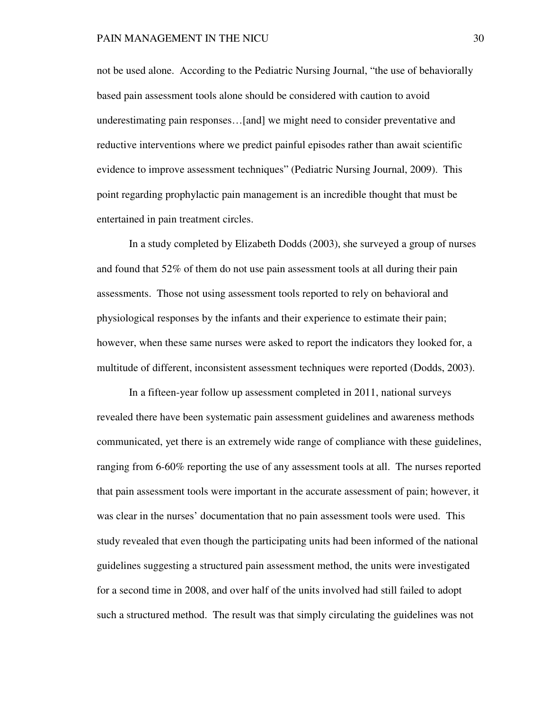not be used alone. According to the Pediatric Nursing Journal, "the use of behaviorally based pain assessment tools alone should be considered with caution to avoid underestimating pain responses…[and] we might need to consider preventative and reductive interventions where we predict painful episodes rather than await scientific evidence to improve assessment techniques" (Pediatric Nursing Journal, 2009). This point regarding prophylactic pain management is an incredible thought that must be entertained in pain treatment circles.

 In a study completed by Elizabeth Dodds (2003), she surveyed a group of nurses and found that 52% of them do not use pain assessment tools at all during their pain assessments. Those not using assessment tools reported to rely on behavioral and physiological responses by the infants and their experience to estimate their pain; however, when these same nurses were asked to report the indicators they looked for, a multitude of different, inconsistent assessment techniques were reported (Dodds, 2003).

 In a fifteen-year follow up assessment completed in 2011, national surveys revealed there have been systematic pain assessment guidelines and awareness methods communicated, yet there is an extremely wide range of compliance with these guidelines, ranging from 6-60% reporting the use of any assessment tools at all. The nurses reported that pain assessment tools were important in the accurate assessment of pain; however, it was clear in the nurses' documentation that no pain assessment tools were used. This study revealed that even though the participating units had been informed of the national guidelines suggesting a structured pain assessment method, the units were investigated for a second time in 2008, and over half of the units involved had still failed to adopt such a structured method. The result was that simply circulating the guidelines was not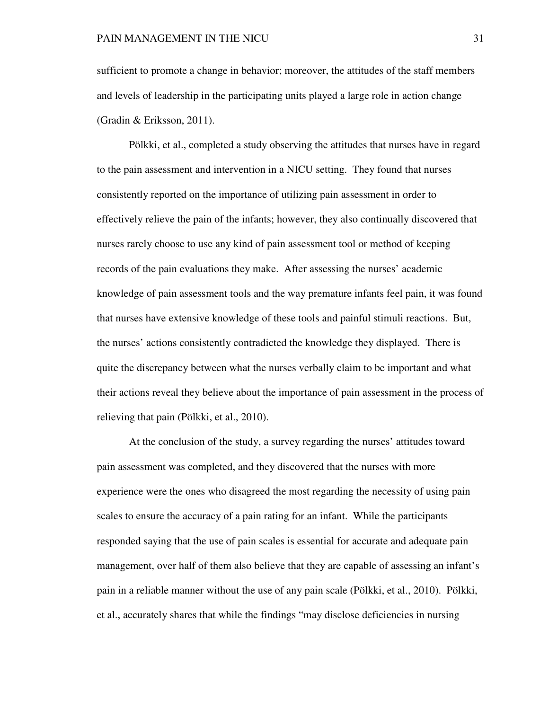sufficient to promote a change in behavior; moreover, the attitudes of the staff members and levels of leadership in the participating units played a large role in action change (Gradin & Eriksson, 2011).

 Pölkki, et al., completed a study observing the attitudes that nurses have in regard to the pain assessment and intervention in a NICU setting. They found that nurses consistently reported on the importance of utilizing pain assessment in order to effectively relieve the pain of the infants; however, they also continually discovered that nurses rarely choose to use any kind of pain assessment tool or method of keeping records of the pain evaluations they make. After assessing the nurses' academic knowledge of pain assessment tools and the way premature infants feel pain, it was found that nurses have extensive knowledge of these tools and painful stimuli reactions. But, the nurses' actions consistently contradicted the knowledge they displayed. There is quite the discrepancy between what the nurses verbally claim to be important and what their actions reveal they believe about the importance of pain assessment in the process of relieving that pain (Pölkki, et al., 2010).

 At the conclusion of the study, a survey regarding the nurses' attitudes toward pain assessment was completed, and they discovered that the nurses with more experience were the ones who disagreed the most regarding the necessity of using pain scales to ensure the accuracy of a pain rating for an infant. While the participants responded saying that the use of pain scales is essential for accurate and adequate pain management, over half of them also believe that they are capable of assessing an infant's pain in a reliable manner without the use of any pain scale (Pölkki, et al., 2010). Pölkki, et al., accurately shares that while the findings "may disclose deficiencies in nursing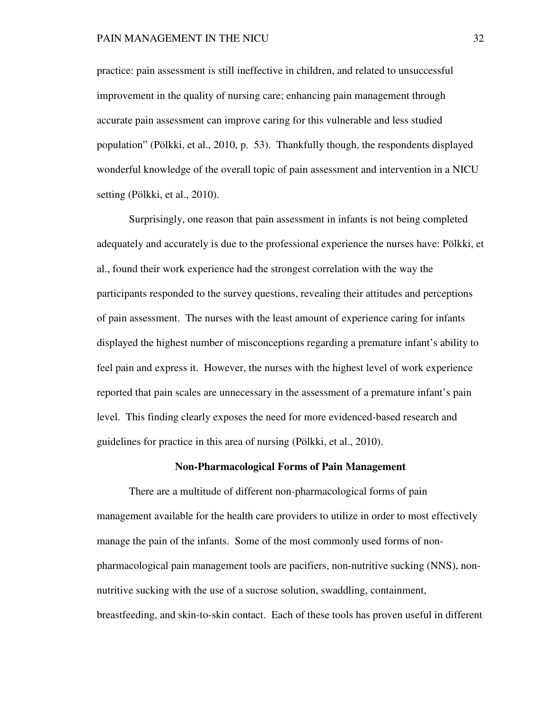practice: pain assessment is still ineffective in children, and related to unsuccessful improvement in the quality of nursing care; enhancing pain management through accurate pain assessment can improve caring for this vulnerable and less studied population" (Pölkki, et al., 2010, p. 53). Thankfully though, the respondents displayed wonderful knowledge of the overall topic of pain assessment and intervention in a NICU setting (Pölkki, et al., 2010).

 Surprisingly, one reason that pain assessment in infants is not being completed adequately and accurately is due to the professional experience the nurses have: Pölkki, et al., found their work experience had the strongest correlation with the way the participants responded to the survey questions, revealing their attitudes and perceptions of pain assessment. The nurses with the least amount of experience caring for infants displayed the highest number of misconceptions regarding a premature infant's ability to feel pain and express it. However, the nurses with the highest level of work experience reported that pain scales are unnecessary in the assessment of a premature infant's pain level. This finding clearly exposes the need for more evidenced-based research and guidelines for practice in this area of nursing (Pölkki, et al., 2010).

### **Non-Pharmacological Forms of Pain Management**

 There are a multitude of different non-pharmacological forms of pain management available for the health care providers to utilize in order to most effectively manage the pain of the infants. Some of the most commonly used forms of nonpharmacological pain management tools are pacifiers, non-nutritive sucking (NNS), nonnutritive sucking with the use of a sucrose solution, swaddling, containment, breastfeeding, and skin-to-skin contact. Each of these tools has proven useful in different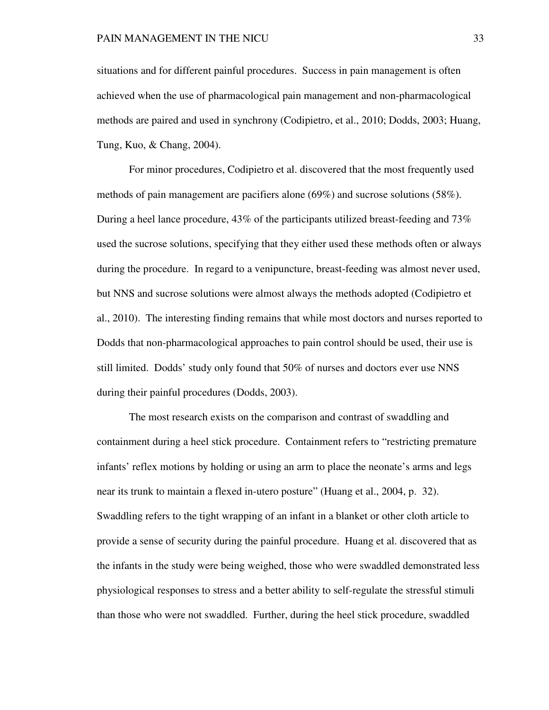situations and for different painful procedures. Success in pain management is often achieved when the use of pharmacological pain management and non-pharmacological methods are paired and used in synchrony (Codipietro, et al., 2010; Dodds, 2003; Huang, Tung, Kuo, & Chang, 2004).

 For minor procedures, Codipietro et al. discovered that the most frequently used methods of pain management are pacifiers alone (69%) and sucrose solutions (58%). During a heel lance procedure, 43% of the participants utilized breast-feeding and 73% used the sucrose solutions, specifying that they either used these methods often or always during the procedure. In regard to a venipuncture, breast-feeding was almost never used, but NNS and sucrose solutions were almost always the methods adopted (Codipietro et al., 2010). The interesting finding remains that while most doctors and nurses reported to Dodds that non-pharmacological approaches to pain control should be used, their use is still limited. Dodds' study only found that 50% of nurses and doctors ever use NNS during their painful procedures (Dodds, 2003).

 The most research exists on the comparison and contrast of swaddling and containment during a heel stick procedure. Containment refers to "restricting premature infants' reflex motions by holding or using an arm to place the neonate's arms and legs near its trunk to maintain a flexed in-utero posture" (Huang et al., 2004, p. 32). Swaddling refers to the tight wrapping of an infant in a blanket or other cloth article to provide a sense of security during the painful procedure. Huang et al. discovered that as the infants in the study were being weighed, those who were swaddled demonstrated less physiological responses to stress and a better ability to self-regulate the stressful stimuli than those who were not swaddled. Further, during the heel stick procedure, swaddled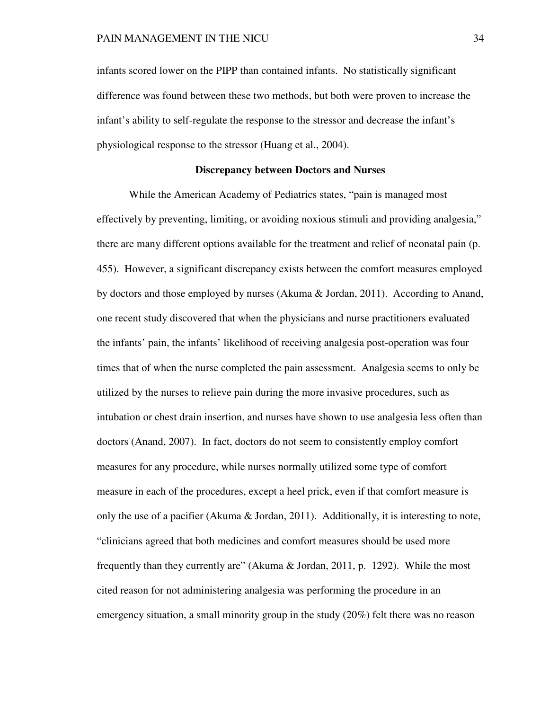infants scored lower on the PIPP than contained infants. No statistically significant difference was found between these two methods, but both were proven to increase the infant's ability to self-regulate the response to the stressor and decrease the infant's physiological response to the stressor (Huang et al., 2004).

## **Discrepancy between Doctors and Nurses**

 While the American Academy of Pediatrics states, "pain is managed most effectively by preventing, limiting, or avoiding noxious stimuli and providing analgesia," there are many different options available for the treatment and relief of neonatal pain (p. 455). However, a significant discrepancy exists between the comfort measures employed by doctors and those employed by nurses (Akuma & Jordan, 2011). According to Anand, one recent study discovered that when the physicians and nurse practitioners evaluated the infants' pain, the infants' likelihood of receiving analgesia post-operation was four times that of when the nurse completed the pain assessment. Analgesia seems to only be utilized by the nurses to relieve pain during the more invasive procedures, such as intubation or chest drain insertion, and nurses have shown to use analgesia less often than doctors (Anand, 2007). In fact, doctors do not seem to consistently employ comfort measures for any procedure, while nurses normally utilized some type of comfort measure in each of the procedures, except a heel prick, even if that comfort measure is only the use of a pacifier (Akuma  $\&$  Jordan, 2011). Additionally, it is interesting to note, "clinicians agreed that both medicines and comfort measures should be used more frequently than they currently are" (Akuma & Jordan, 2011, p. 1292). While the most cited reason for not administering analgesia was performing the procedure in an emergency situation, a small minority group in the study (20%) felt there was no reason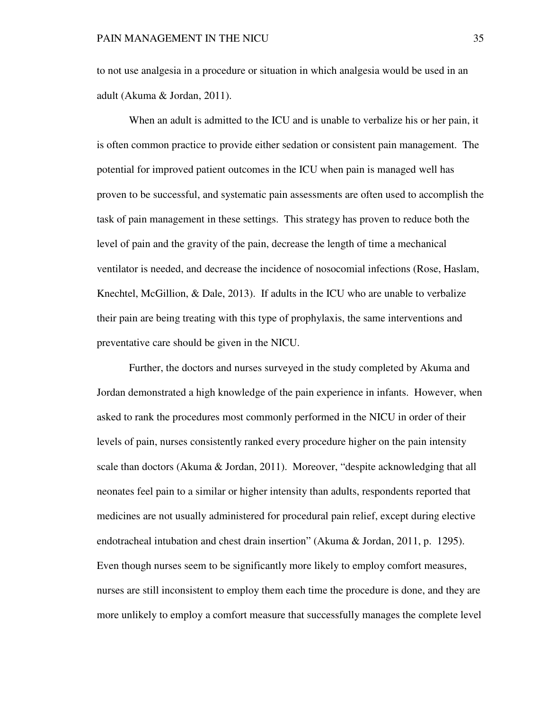to not use analgesia in a procedure or situation in which analgesia would be used in an adult (Akuma & Jordan, 2011).

 When an adult is admitted to the ICU and is unable to verbalize his or her pain, it is often common practice to provide either sedation or consistent pain management. The potential for improved patient outcomes in the ICU when pain is managed well has proven to be successful, and systematic pain assessments are often used to accomplish the task of pain management in these settings. This strategy has proven to reduce both the level of pain and the gravity of the pain, decrease the length of time a mechanical ventilator is needed, and decrease the incidence of nosocomial infections (Rose, Haslam, Knechtel, McGillion, & Dale, 2013). If adults in the ICU who are unable to verbalize their pain are being treating with this type of prophylaxis, the same interventions and preventative care should be given in the NICU.

 Further, the doctors and nurses surveyed in the study completed by Akuma and Jordan demonstrated a high knowledge of the pain experience in infants. However, when asked to rank the procedures most commonly performed in the NICU in order of their levels of pain, nurses consistently ranked every procedure higher on the pain intensity scale than doctors (Akuma & Jordan, 2011). Moreover, "despite acknowledging that all neonates feel pain to a similar or higher intensity than adults, respondents reported that medicines are not usually administered for procedural pain relief, except during elective endotracheal intubation and chest drain insertion" (Akuma & Jordan, 2011, p. 1295). Even though nurses seem to be significantly more likely to employ comfort measures, nurses are still inconsistent to employ them each time the procedure is done, and they are more unlikely to employ a comfort measure that successfully manages the complete level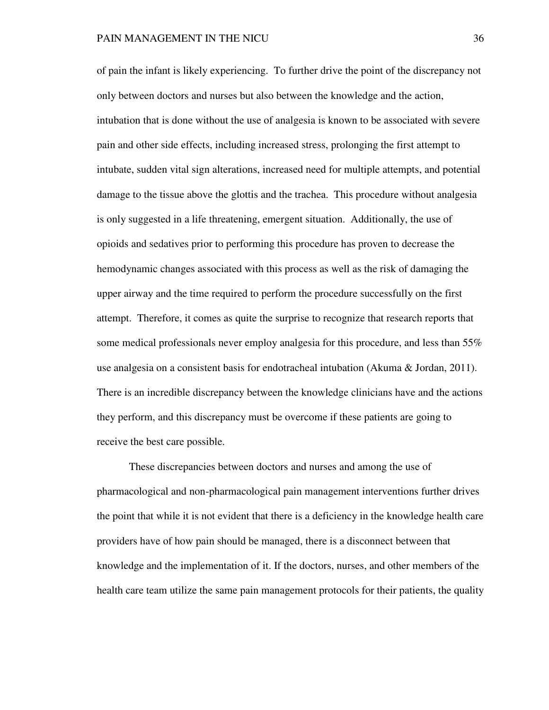of pain the infant is likely experiencing. To further drive the point of the discrepancy not only between doctors and nurses but also between the knowledge and the action, intubation that is done without the use of analgesia is known to be associated with severe pain and other side effects, including increased stress, prolonging the first attempt to intubate, sudden vital sign alterations, increased need for multiple attempts, and potential damage to the tissue above the glottis and the trachea. This procedure without analgesia is only suggested in a life threatening, emergent situation. Additionally, the use of opioids and sedatives prior to performing this procedure has proven to decrease the hemodynamic changes associated with this process as well as the risk of damaging the upper airway and the time required to perform the procedure successfully on the first attempt. Therefore, it comes as quite the surprise to recognize that research reports that some medical professionals never employ analgesia for this procedure, and less than 55% use analgesia on a consistent basis for endotracheal intubation (Akuma & Jordan, 2011). There is an incredible discrepancy between the knowledge clinicians have and the actions they perform, and this discrepancy must be overcome if these patients are going to receive the best care possible.

 These discrepancies between doctors and nurses and among the use of pharmacological and non-pharmacological pain management interventions further drives the point that while it is not evident that there is a deficiency in the knowledge health care providers have of how pain should be managed, there is a disconnect between that knowledge and the implementation of it. If the doctors, nurses, and other members of the health care team utilize the same pain management protocols for their patients, the quality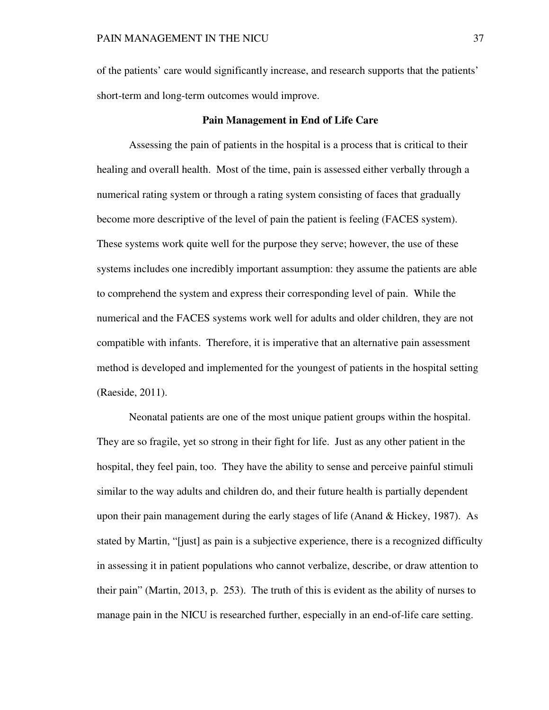of the patients' care would significantly increase, and research supports that the patients' short-term and long-term outcomes would improve.

## **Pain Management in End of Life Care**

Assessing the pain of patients in the hospital is a process that is critical to their healing and overall health. Most of the time, pain is assessed either verbally through a numerical rating system or through a rating system consisting of faces that gradually become more descriptive of the level of pain the patient is feeling (FACES system). These systems work quite well for the purpose they serve; however, the use of these systems includes one incredibly important assumption: they assume the patients are able to comprehend the system and express their corresponding level of pain. While the numerical and the FACES systems work well for adults and older children, they are not compatible with infants. Therefore, it is imperative that an alternative pain assessment method is developed and implemented for the youngest of patients in the hospital setting (Raeside, 2011).

 Neonatal patients are one of the most unique patient groups within the hospital. They are so fragile, yet so strong in their fight for life. Just as any other patient in the hospital, they feel pain, too. They have the ability to sense and perceive painful stimuli similar to the way adults and children do, and their future health is partially dependent upon their pain management during the early stages of life (Anand  $&$  Hickey, 1987). As stated by Martin, "[just] as pain is a subjective experience, there is a recognized difficulty in assessing it in patient populations who cannot verbalize, describe, or draw attention to their pain" (Martin, 2013, p. 253). The truth of this is evident as the ability of nurses to manage pain in the NICU is researched further, especially in an end-of-life care setting.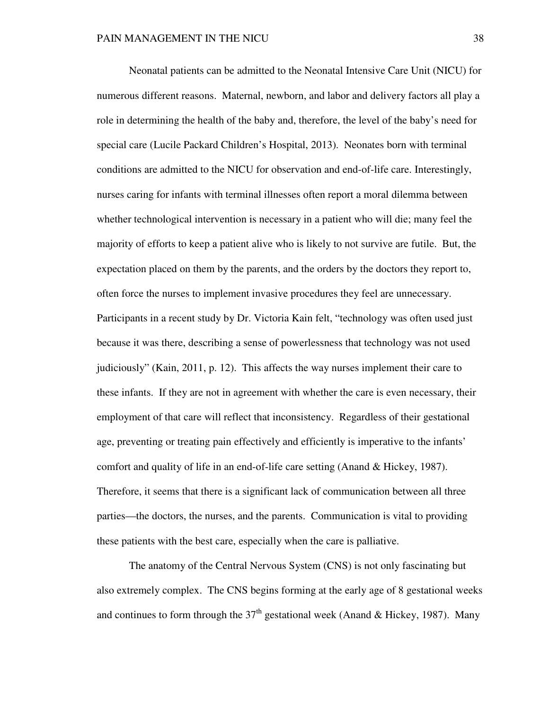Neonatal patients can be admitted to the Neonatal Intensive Care Unit (NICU) for numerous different reasons. Maternal, newborn, and labor and delivery factors all play a role in determining the health of the baby and, therefore, the level of the baby's need for special care (Lucile Packard Children's Hospital, 2013). Neonates born with terminal conditions are admitted to the NICU for observation and end-of-life care. Interestingly, nurses caring for infants with terminal illnesses often report a moral dilemma between whether technological intervention is necessary in a patient who will die; many feel the majority of efforts to keep a patient alive who is likely to not survive are futile. But, the expectation placed on them by the parents, and the orders by the doctors they report to, often force the nurses to implement invasive procedures they feel are unnecessary. Participants in a recent study by Dr. Victoria Kain felt, "technology was often used just because it was there, describing a sense of powerlessness that technology was not used judiciously" (Kain, 2011, p. 12). This affects the way nurses implement their care to these infants. If they are not in agreement with whether the care is even necessary, their employment of that care will reflect that inconsistency. Regardless of their gestational age, preventing or treating pain effectively and efficiently is imperative to the infants' comfort and quality of life in an end-of-life care setting (Anand & Hickey, 1987). Therefore, it seems that there is a significant lack of communication between all three parties—the doctors, the nurses, and the parents. Communication is vital to providing these patients with the best care, especially when the care is palliative.

 The anatomy of the Central Nervous System (CNS) is not only fascinating but also extremely complex. The CNS begins forming at the early age of 8 gestational weeks and continues to form through the  $37<sup>th</sup>$  gestational week (Anand & Hickey, 1987). Many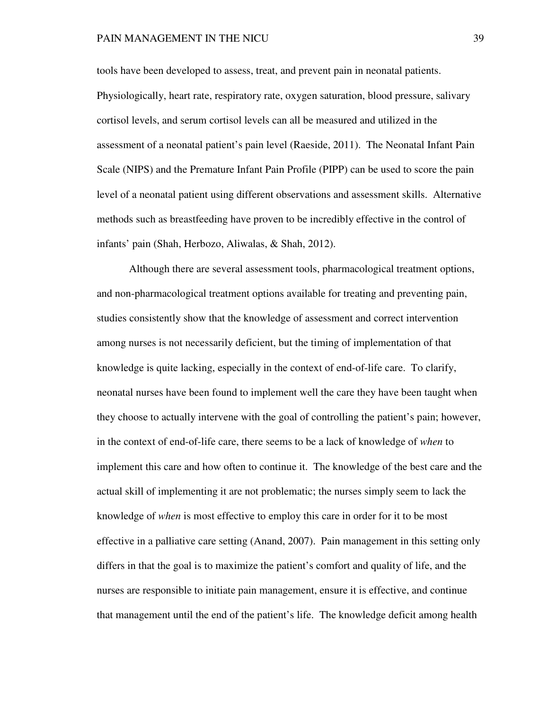tools have been developed to assess, treat, and prevent pain in neonatal patients. Physiologically, heart rate, respiratory rate, oxygen saturation, blood pressure, salivary cortisol levels, and serum cortisol levels can all be measured and utilized in the assessment of a neonatal patient's pain level (Raeside, 2011). The Neonatal Infant Pain Scale (NIPS) and the Premature Infant Pain Profile (PIPP) can be used to score the pain level of a neonatal patient using different observations and assessment skills. Alternative methods such as breastfeeding have proven to be incredibly effective in the control of infants' pain (Shah, Herbozo, Aliwalas, & Shah, 2012).

 Although there are several assessment tools, pharmacological treatment options, and non-pharmacological treatment options available for treating and preventing pain, studies consistently show that the knowledge of assessment and correct intervention among nurses is not necessarily deficient, but the timing of implementation of that knowledge is quite lacking, especially in the context of end-of-life care. To clarify, neonatal nurses have been found to implement well the care they have been taught when they choose to actually intervene with the goal of controlling the patient's pain; however, in the context of end-of-life care, there seems to be a lack of knowledge of *when* to implement this care and how often to continue it. The knowledge of the best care and the actual skill of implementing it are not problematic; the nurses simply seem to lack the knowledge of *when* is most effective to employ this care in order for it to be most effective in a palliative care setting (Anand, 2007). Pain management in this setting only differs in that the goal is to maximize the patient's comfort and quality of life, and the nurses are responsible to initiate pain management, ensure it is effective, and continue that management until the end of the patient's life. The knowledge deficit among health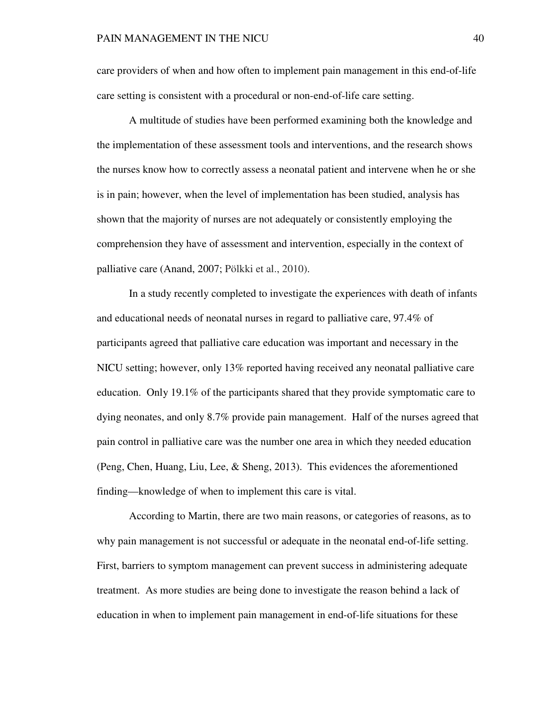care providers of when and how often to implement pain management in this end-of-life care setting is consistent with a procedural or non-end-of-life care setting.

A multitude of studies have been performed examining both the knowledge and the implementation of these assessment tools and interventions, and the research shows the nurses know how to correctly assess a neonatal patient and intervene when he or she is in pain; however, when the level of implementation has been studied, analysis has shown that the majority of nurses are not adequately or consistently employing the comprehension they have of assessment and intervention, especially in the context of palliative care (Anand, 2007; Pölkki et al., 2010).

In a study recently completed to investigate the experiences with death of infants and educational needs of neonatal nurses in regard to palliative care, 97.4% of participants agreed that palliative care education was important and necessary in the NICU setting; however, only 13% reported having received any neonatal palliative care education. Only 19.1% of the participants shared that they provide symptomatic care to dying neonates, and only 8.7% provide pain management. Half of the nurses agreed that pain control in palliative care was the number one area in which they needed education (Peng, Chen, Huang, Liu, Lee, & Sheng, 2013). This evidences the aforementioned finding—knowledge of when to implement this care is vital.

According to Martin, there are two main reasons, or categories of reasons, as to why pain management is not successful or adequate in the neonatal end-of-life setting. First, barriers to symptom management can prevent success in administering adequate treatment. As more studies are being done to investigate the reason behind a lack of education in when to implement pain management in end-of-life situations for these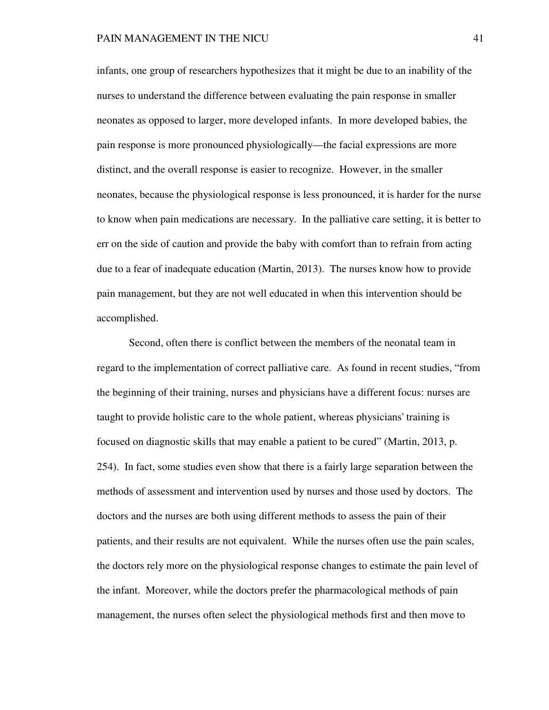infants, one group of researchers hypothesizes that it might be due to an inability of the nurses to understand the difference between evaluating the pain response in smaller neonates as opposed to larger, more developed infants. In more developed babies, the pain response is more pronounced physiologically—the facial expressions are more distinct, and the overall response is easier to recognize. However, in the smaller neonates, because the physiological response is less pronounced, it is harder for the nurse to know when pain medications are necessary. In the palliative care setting, it is better to err on the side of caution and provide the baby with comfort than to refrain from acting due to a fear of inadequate education (Martin, 2013). The nurses know how to provide pain management, but they are not well educated in when this intervention should be accomplished.

Second, often there is conflict between the members of the neonatal team in regard to the implementation of correct palliative care. As found in recent studies, "from the beginning of their training, nurses and physicians have a different focus: nurses are taught to provide holistic care to the whole patient, whereas physicians' training is focused on diagnostic skills that may enable a patient to be cured" (Martin, 2013, p. 254). In fact, some studies even show that there is a fairly large separation between the methods of assessment and intervention used by nurses and those used by doctors. The doctors and the nurses are both using different methods to assess the pain of their patients, and their results are not equivalent. While the nurses often use the pain scales, the doctors rely more on the physiological response changes to estimate the pain level of the infant. Moreover, while the doctors prefer the pharmacological methods of pain management, the nurses often select the physiological methods first and then move to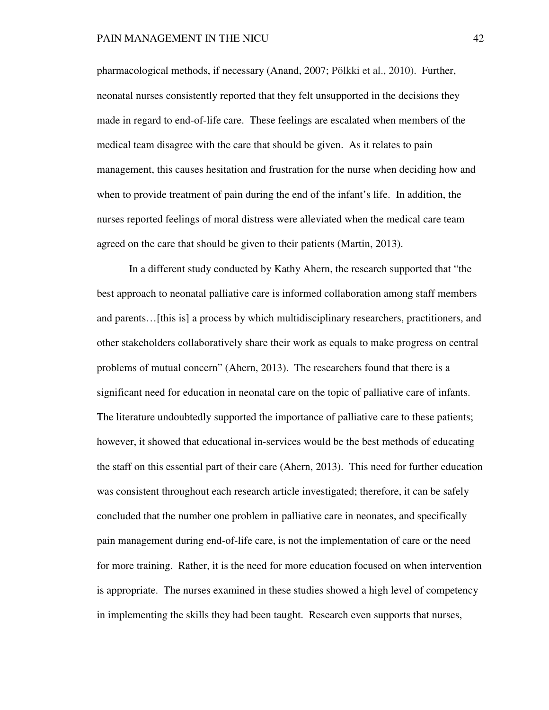pharmacological methods, if necessary (Anand, 2007; Pölkki et al., 2010). Further, neonatal nurses consistently reported that they felt unsupported in the decisions they made in regard to end-of-life care. These feelings are escalated when members of the medical team disagree with the care that should be given. As it relates to pain management, this causes hesitation and frustration for the nurse when deciding how and when to provide treatment of pain during the end of the infant's life. In addition, the nurses reported feelings of moral distress were alleviated when the medical care team agreed on the care that should be given to their patients (Martin, 2013).

In a different study conducted by Kathy Ahern, the research supported that "the best approach to neonatal palliative care is informed collaboration among staff members and parents…[this is] a process by which multidisciplinary researchers, practitioners, and other stakeholders collaboratively share their work as equals to make progress on central problems of mutual concern" (Ahern, 2013). The researchers found that there is a significant need for education in neonatal care on the topic of palliative care of infants. The literature undoubtedly supported the importance of palliative care to these patients; however, it showed that educational in-services would be the best methods of educating the staff on this essential part of their care (Ahern, 2013). This need for further education was consistent throughout each research article investigated; therefore, it can be safely concluded that the number one problem in palliative care in neonates, and specifically pain management during end-of-life care, is not the implementation of care or the need for more training. Rather, it is the need for more education focused on when intervention is appropriate. The nurses examined in these studies showed a high level of competency in implementing the skills they had been taught. Research even supports that nurses,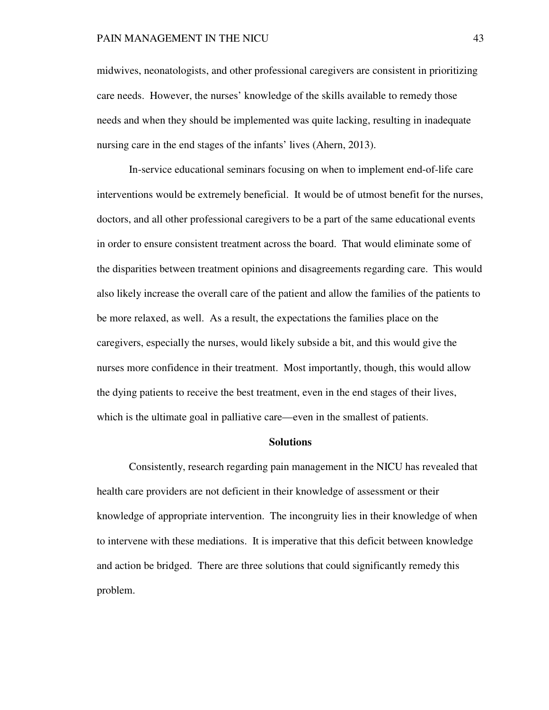midwives, neonatologists, and other professional caregivers are consistent in prioritizing care needs. However, the nurses' knowledge of the skills available to remedy those needs and when they should be implemented was quite lacking, resulting in inadequate nursing care in the end stages of the infants' lives (Ahern, 2013).

In-service educational seminars focusing on when to implement end-of-life care interventions would be extremely beneficial. It would be of utmost benefit for the nurses, doctors, and all other professional caregivers to be a part of the same educational events in order to ensure consistent treatment across the board. That would eliminate some of the disparities between treatment opinions and disagreements regarding care. This would also likely increase the overall care of the patient and allow the families of the patients to be more relaxed, as well. As a result, the expectations the families place on the caregivers, especially the nurses, would likely subside a bit, and this would give the nurses more confidence in their treatment. Most importantly, though, this would allow the dying patients to receive the best treatment, even in the end stages of their lives, which is the ultimate goal in palliative care—even in the smallest of patients.

#### **Solutions**

 Consistently, research regarding pain management in the NICU has revealed that health care providers are not deficient in their knowledge of assessment or their knowledge of appropriate intervention. The incongruity lies in their knowledge of when to intervene with these mediations. It is imperative that this deficit between knowledge and action be bridged. There are three solutions that could significantly remedy this problem.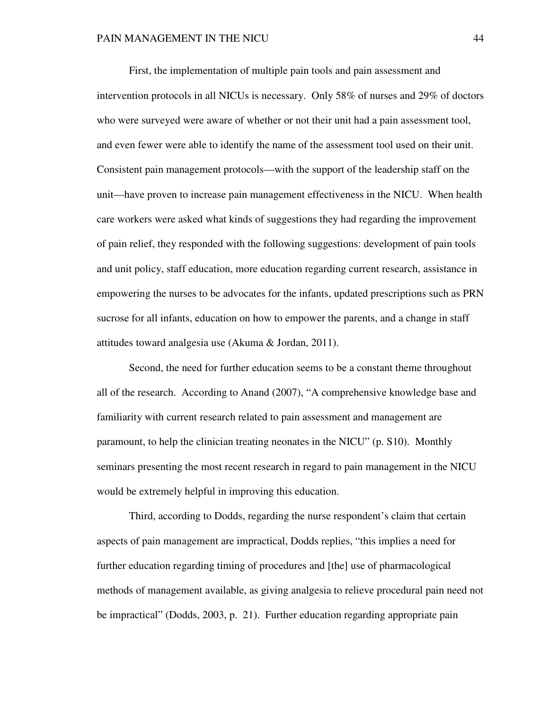First, the implementation of multiple pain tools and pain assessment and intervention protocols in all NICUs is necessary. Only 58% of nurses and 29% of doctors who were surveyed were aware of whether or not their unit had a pain assessment tool, and even fewer were able to identify the name of the assessment tool used on their unit. Consistent pain management protocols—with the support of the leadership staff on the unit—have proven to increase pain management effectiveness in the NICU. When health care workers were asked what kinds of suggestions they had regarding the improvement of pain relief, they responded with the following suggestions: development of pain tools and unit policy, staff education, more education regarding current research, assistance in empowering the nurses to be advocates for the infants, updated prescriptions such as PRN sucrose for all infants, education on how to empower the parents, and a change in staff attitudes toward analgesia use (Akuma & Jordan, 2011).

 Second, the need for further education seems to be a constant theme throughout all of the research. According to Anand (2007), "A comprehensive knowledge base and familiarity with current research related to pain assessment and management are paramount, to help the clinician treating neonates in the NICU" (p. S10). Monthly seminars presenting the most recent research in regard to pain management in the NICU would be extremely helpful in improving this education.

 Third, according to Dodds, regarding the nurse respondent's claim that certain aspects of pain management are impractical, Dodds replies, "this implies a need for further education regarding timing of procedures and [the] use of pharmacological methods of management available, as giving analgesia to relieve procedural pain need not be impractical" (Dodds, 2003, p. 21). Further education regarding appropriate pain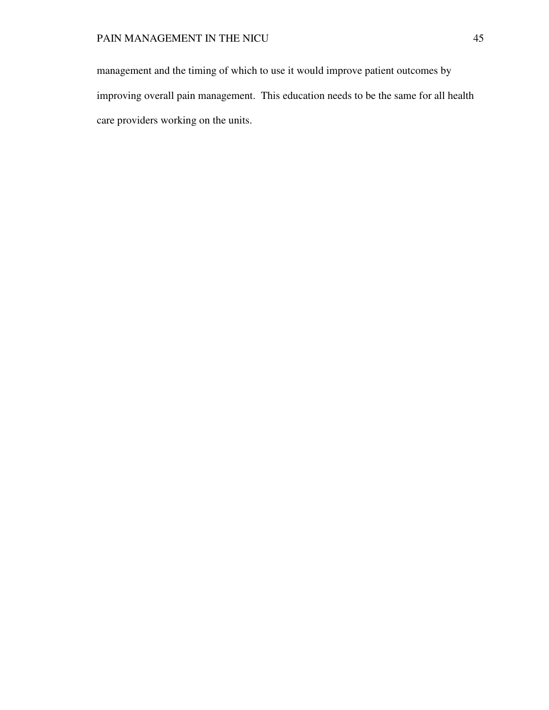management and the timing of which to use it would improve patient outcomes by improving overall pain management. This education needs to be the same for all health care providers working on the units.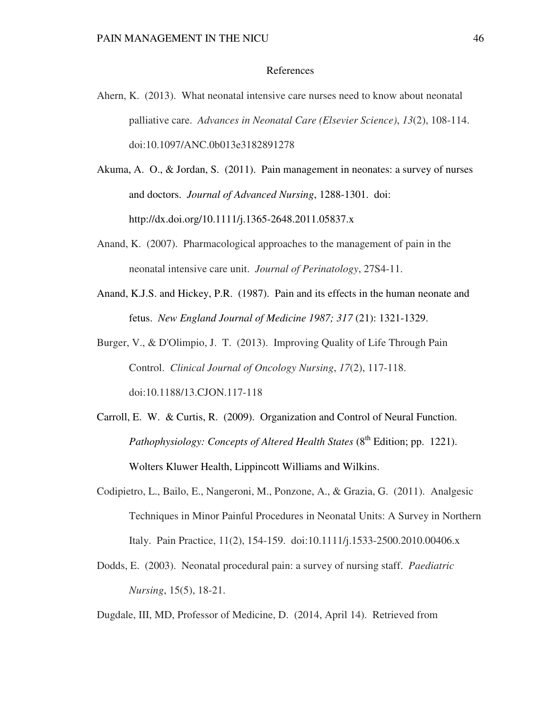### References

- Ahern, K. (2013). What neonatal intensive care nurses need to know about neonatal palliative care. *Advances in Neonatal Care (Elsevier Science)*, *13*(2), 108-114. doi:10.1097/ANC.0b013e3182891278
- Akuma, A. O., & Jordan, S. (2011). Pain management in neonates: a survey of nurses and doctors. *Journal of Advanced Nursing*, 1288-1301. doi: http://dx.doi.org/10.1111/j.1365-2648.2011.05837.x
- Anand, K. (2007). Pharmacological approaches to the management of pain in the neonatal intensive care unit. *Journal of Perinatology*, 27S4-11.
- Anand, K.J.S. and Hickey, P.R. (1987). Pain and its effects in the human neonate and fetus. *New England Journal of Medicine 1987; 317* (21): 1321-1329.
- Burger, V., & D'Olimpio, J. T. (2013). Improving Quality of Life Through Pain Control. *Clinical Journal of Oncology Nursing*, *17*(2), 117-118. doi:10.1188/13.CJON.117-118
- Carroll, E. W. & Curtis, R. (2009). Organization and Control of Neural Function. *Pathophysiology: Concepts of Altered Health States* (8<sup>th</sup> Edition; pp. 1221). Wolters Kluwer Health, Lippincott Williams and Wilkins.
- Codipietro, L., Bailo, E., Nangeroni, M., Ponzone, A., & Grazia, G. (2011). Analgesic Techniques in Minor Painful Procedures in Neonatal Units: A Survey in Northern Italy. Pain Practice, 11(2), 154-159. doi:10.1111/j.1533-2500.2010.00406.x
- Dodds, E. (2003). Neonatal procedural pain: a survey of nursing staff. *Paediatric Nursing*, 15(5), 18-21.

Dugdale, III, MD, Professor of Medicine, D. (2014, April 14). Retrieved from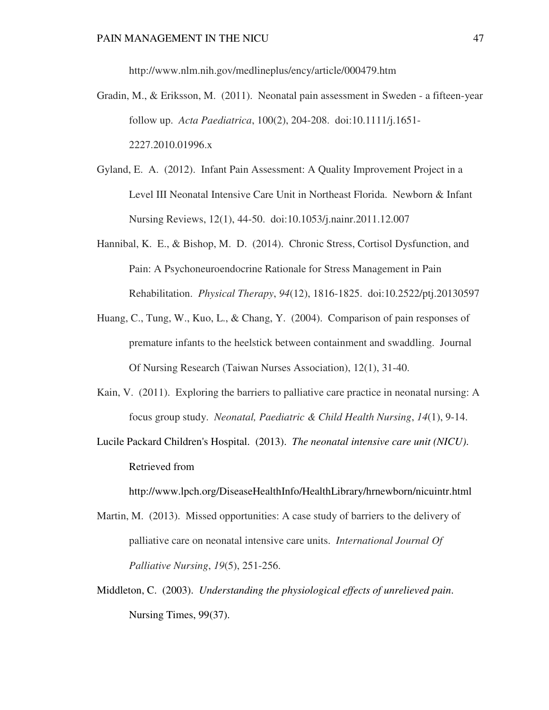http://www.nlm.nih.gov/medlineplus/ency/article/000479.htm

- Gradin, M., & Eriksson, M. (2011). Neonatal pain assessment in Sweden a fifteen-year follow up. *Acta Paediatrica*, 100(2), 204-208. doi:10.1111/j.1651- 2227.2010.01996.x
- Gyland, E. A. (2012). Infant Pain Assessment: A Quality Improvement Project in a Level III Neonatal Intensive Care Unit in Northeast Florida. Newborn & Infant Nursing Reviews, 12(1), 44-50. doi:10.1053/j.nainr.2011.12.007
- Hannibal, K. E., & Bishop, M. D. (2014). Chronic Stress, Cortisol Dysfunction, and Pain: A Psychoneuroendocrine Rationale for Stress Management in Pain Rehabilitation. *Physical Therapy*, *94*(12), 1816-1825. doi:10.2522/ptj.20130597
- Huang, C., Tung, W., Kuo, L., & Chang, Y. (2004). Comparison of pain responses of premature infants to the heelstick between containment and swaddling. Journal Of Nursing Research (Taiwan Nurses Association), 12(1), 31-40.
- Kain, V. (2011). Exploring the barriers to palliative care practice in neonatal nursing: A focus group study. *Neonatal, Paediatric & Child Health Nursing*, *14*(1), 9-14.
- Lucile Packard Children's Hospital. (2013). *The neonatal intensive care unit (NICU)*. Retrieved from

http://www.lpch.org/DiseaseHealthInfo/HealthLibrary/hrnewborn/nicuintr.html

- Martin, M. (2013). Missed opportunities: A case study of barriers to the delivery of palliative care on neonatal intensive care units. *International Journal Of Palliative Nursing*, *19*(5), 251-256.
- Middleton, C. (2003). *Understanding the physiological effects of unrelieved pain*. Nursing Times, 99(37).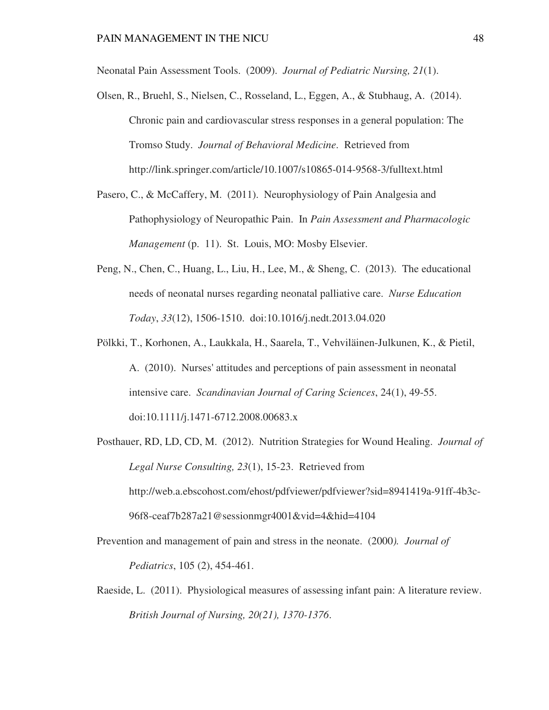Neonatal Pain Assessment Tools. (2009). *Journal of Pediatric Nursing, 21*(1).

- Olsen, R., Bruehl, S., Nielsen, C., Rosseland, L., Eggen, A., & Stubhaug, A. (2014). Chronic pain and cardiovascular stress responses in a general population: The Tromso Study. *Journal of Behavioral Medicine*. Retrieved from http://link.springer.com/article/10.1007/s10865-014-9568-3/fulltext.html
- Pasero, C., & McCaffery, M. (2011). Neurophysiology of Pain Analgesia and Pathophysiology of Neuropathic Pain. In *Pain Assessment and Pharmacologic Management* (p. 11). St. Louis, MO: Mosby Elsevier.
- Peng, N., Chen, C., Huang, L., Liu, H., Lee, M., & Sheng, C. (2013). The educational needs of neonatal nurses regarding neonatal palliative care. *Nurse Education Today*, *33*(12), 1506-1510. doi:10.1016/j.nedt.2013.04.020
- Pölkki, T., Korhonen, A., Laukkala, H., Saarela, T., Vehviläinen-Julkunen, K., & Pietil, A. (2010). Nurses' attitudes and perceptions of pain assessment in neonatal intensive care. *Scandinavian Journal of Caring Sciences*, 24(1), 49-55. doi:10.1111/j.1471-6712.2008.00683.x
- Posthauer, RD, LD, CD, M. (2012). Nutrition Strategies for Wound Healing. *Journal of Legal Nurse Consulting, 23*(1), 15-23. Retrieved from http://web.a.ebscohost.com/ehost/pdfviewer/pdfviewer?sid=8941419a-91ff-4b3c-96f8-ceaf7b287a21@sessionmgr4001&vid=4&hid=4104
- Prevention and management of pain and stress in the neonate. (2000*). Journal of Pediatrics*, 105 (2), 454-461.
- Raeside, L. (2011). Physiological measures of assessing infant pain: A literature review. *British Journal of Nursing, 20(21), 1370-1376*.